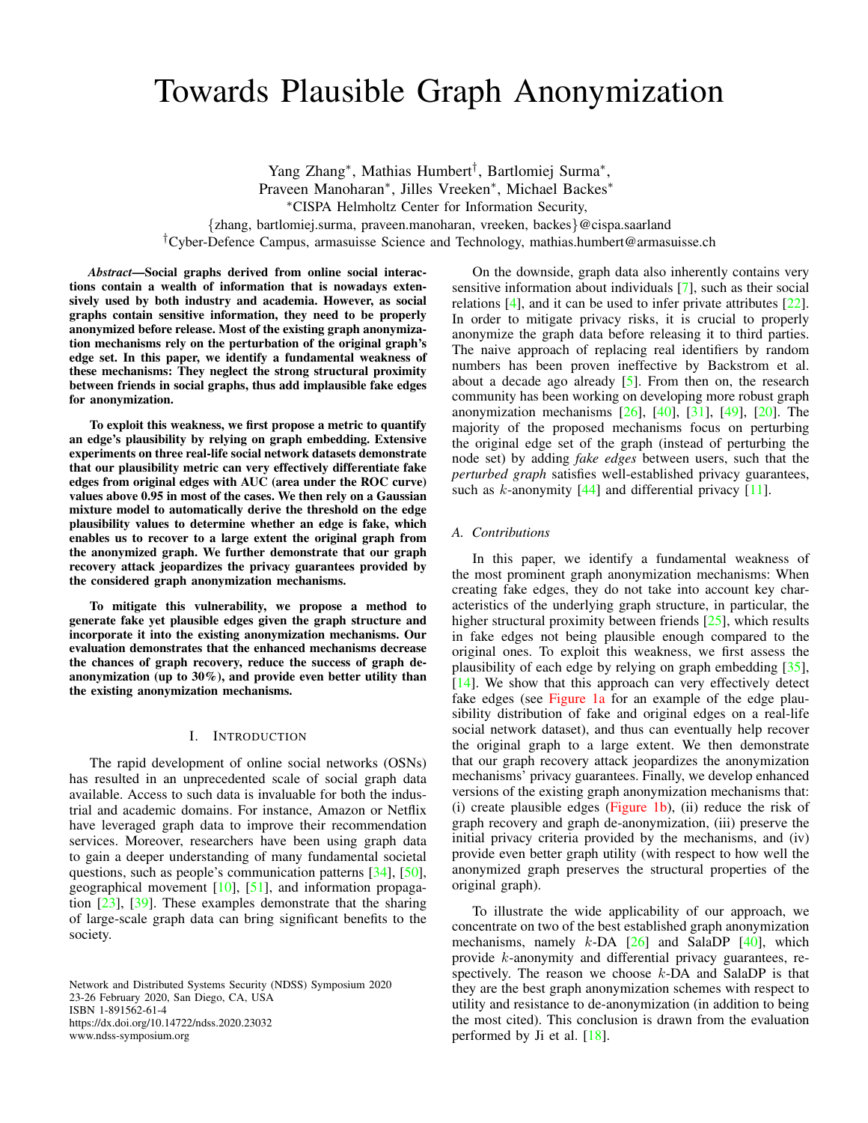# <span id="page-0-0"></span>Towards Plausible Graph Anonymization

Yang Zhang<sup>∗</sup> , Mathias Humbert† , Bartlomiej Surma<sup>∗</sup> , Praveen Manoharan<sup>∗</sup> , Jilles Vreeken<sup>∗</sup> , Michael Backes<sup>∗</sup> <sup>∗</sup>CISPA Helmholtz Center for Information Security, {zhang, bartlomiej.surma, praveen.manoharan, vreeken, backes}@cispa.saarland

†Cyber-Defence Campus, armasuisse Science and Technology, mathias.humbert@armasuisse.ch

*Abstract*—Social graphs derived from online social interactions contain a wealth of information that is nowadays extensively used by both industry and academia. However, as social graphs contain sensitive information, they need to be properly anonymized before release. Most of the existing graph anonymization mechanisms rely on the perturbation of the original graph's edge set. In this paper, we identify a fundamental weakness of these mechanisms: They neglect the strong structural proximity between friends in social graphs, thus add implausible fake edges for anonymization.

To exploit this weakness, we first propose a metric to quantify an edge's plausibility by relying on graph embedding. Extensive experiments on three real-life social network datasets demonstrate that our plausibility metric can very effectively differentiate fake edges from original edges with AUC (area under the ROC curve) values above 0.95 in most of the cases. We then rely on a Gaussian mixture model to automatically derive the threshold on the edge plausibility values to determine whether an edge is fake, which enables us to recover to a large extent the original graph from the anonymized graph. We further demonstrate that our graph recovery attack jeopardizes the privacy guarantees provided by the considered graph anonymization mechanisms.

To mitigate this vulnerability, we propose a method to generate fake yet plausible edges given the graph structure and incorporate it into the existing anonymization mechanisms. Our evaluation demonstrates that the enhanced mechanisms decrease the chances of graph recovery, reduce the success of graph deanonymization (up to 30%), and provide even better utility than the existing anonymization mechanisms.

#### I. INTRODUCTION

The rapid development of online social networks (OSNs) has resulted in an unprecedented scale of social graph data available. Access to such data is invaluable for both the industrial and academic domains. For instance, Amazon or Netflix have leveraged graph data to improve their recommendation services. Moreover, researchers have been using graph data to gain a deeper understanding of many fundamental societal questions, such as people's communication patterns [\[34\]](#page-13-0), [\[50\]](#page-14-0), geographical movement [\[10\]](#page-13-1), [\[51\]](#page-14-1), and information propagation [\[23\]](#page-13-2), [\[39\]](#page-13-3). These examples demonstrate that the sharing of large-scale graph data can bring significant benefits to the society.

Network and Distributed Systems Security (NDSS) Symposium 2020 23-26 February 2020, San Diego, CA, USA ISBN 1-891562-61-4 https://dx.doi.org/10.14722/ndss.2020.23032 www.ndss-symposium.org

On the downside, graph data also inherently contains very sensitive information about individuals [\[7\]](#page-13-4), such as their social relations [\[4\]](#page-12-0), and it can be used to infer private attributes [\[22\]](#page-13-5). In order to mitigate privacy risks, it is crucial to properly anonymize the graph data before releasing it to third parties. The naive approach of replacing real identifiers by random numbers has been proven ineffective by Backstrom et al. about a decade ago already [\[5\]](#page-12-1). From then on, the research community has been working on developing more robust graph anonymization mechanisms [\[26\]](#page-13-6), [\[40\]](#page-13-7), [\[31\]](#page-13-8), [\[49\]](#page-14-2), [\[20\]](#page-13-9). The majority of the proposed mechanisms focus on perturbing the original edge set of the graph (instead of perturbing the node set) by adding *fake edges* between users, such that the *perturbed graph* satisfies well-established privacy guarantees, such as *k*-anonymity  $[44]$  and differential privacy  $[11]$ .

## *A. Contributions*

In this paper, we identify a fundamental weakness of the most prominent graph anonymization mechanisms: When creating fake edges, they do not take into account key characteristics of the underlying graph structure, in particular, the higher structural proximity between friends [\[25\]](#page-13-11), which results in fake edges not being plausible enough compared to the original ones. To exploit this weakness, we first assess the plausibility of each edge by relying on graph embedding [\[35\]](#page-13-12), [\[14\]](#page-13-13). We show that this approach can very effectively detect fake edges (see [Figure 1a](#page-1-0) for an example of the edge plausibility distribution of fake and original edges on a real-life social network dataset), and thus can eventually help recover the original graph to a large extent. We then demonstrate that our graph recovery attack jeopardizes the anonymization mechanisms' privacy guarantees. Finally, we develop enhanced versions of the existing graph anonymization mechanisms that: (i) create plausible edges [\(Figure 1b\)](#page-1-0), (ii) reduce the risk of graph recovery and graph de-anonymization, (iii) preserve the initial privacy criteria provided by the mechanisms, and (iv) provide even better graph utility (with respect to how well the anonymized graph preserves the structural properties of the original graph).

To illustrate the wide applicability of our approach, we concentrate on two of the best established graph anonymization mechanisms, namely  $k$ -DA  $[26]$  and SalaDP  $[40]$ , which provide k-anonymity and differential privacy guarantees, respectively. The reason we choose  $k$ -DA and SalaDP is that they are the best graph anonymization schemes with respect to utility and resistance to de-anonymization (in addition to being the most cited). This conclusion is drawn from the evaluation performed by Ji et al. [\[18\]](#page-13-14).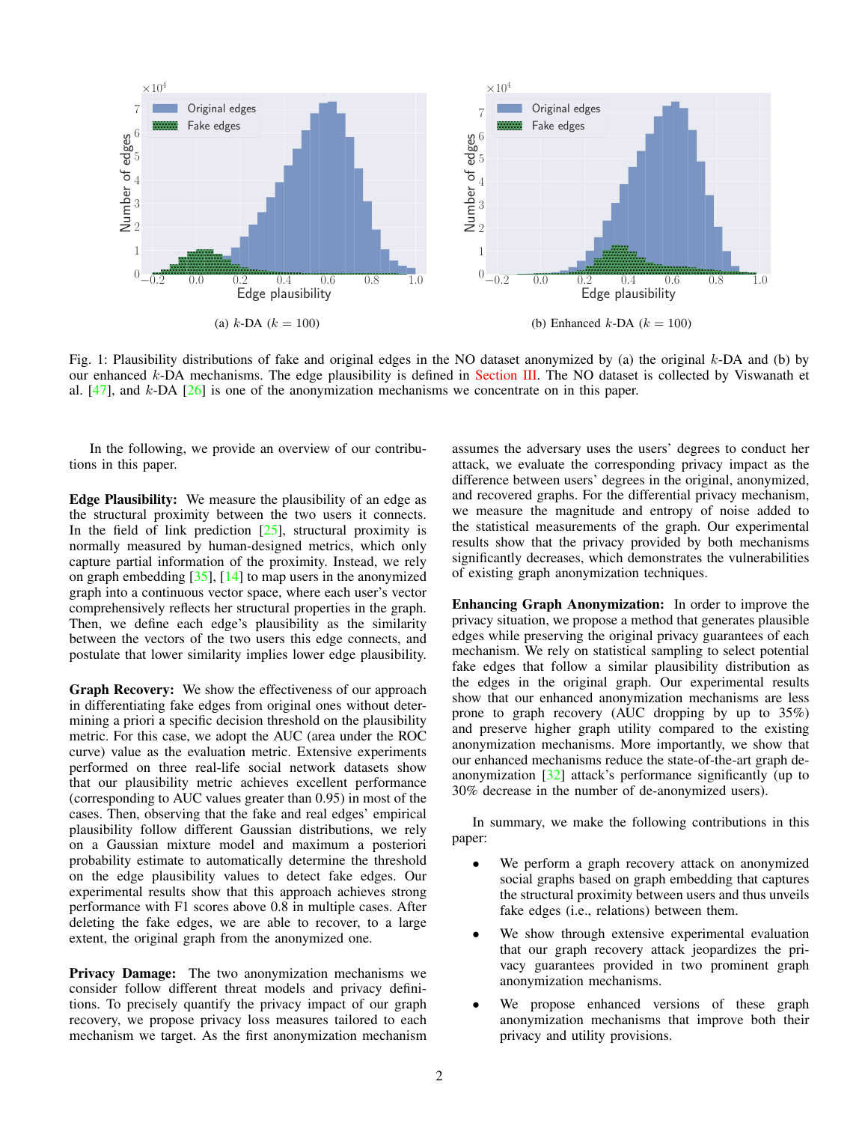<span id="page-1-1"></span><span id="page-1-0"></span>

Fig. 1: Plausibility distributions of fake and original edges in the NO dataset anonymized by (a) the original  $k$ -DA and (b) by our enhanced k-DA mechanisms. The edge plausibility is defined in [Section III.](#page-3-0) The NO dataset is collected by Viswanath et al.  $[47]$ , and k-DA  $[26]$  is one of the anonymization mechanisms we concentrate on in this paper.

In the following, we provide an overview of our contributions in this paper.

Edge Plausibility: We measure the plausibility of an edge as the structural proximity between the two users it connects. In the field of link prediction  $[25]$ , structural proximity is normally measured by human-designed metrics, which only capture partial information of the proximity. Instead, we rely on graph embedding  $[35]$ ,  $[14]$  to map users in the anonymized graph into a continuous vector space, where each user's vector comprehensively reflects her structural properties in the graph. Then, we define each edge's plausibility as the similarity between the vectors of the two users this edge connects, and postulate that lower similarity implies lower edge plausibility.

Graph Recovery: We show the effectiveness of our approach in differentiating fake edges from original ones without determining a priori a specific decision threshold on the plausibility metric. For this case, we adopt the AUC (area under the ROC curve) value as the evaluation metric. Extensive experiments performed on three real-life social network datasets show that our plausibility metric achieves excellent performance (corresponding to AUC values greater than 0.95) in most of the cases. Then, observing that the fake and real edges' empirical plausibility follow different Gaussian distributions, we rely on a Gaussian mixture model and maximum a posteriori probability estimate to automatically determine the threshold on the edge plausibility values to detect fake edges. Our experimental results show that this approach achieves strong performance with F1 scores above 0.8 in multiple cases. After deleting the fake edges, we are able to recover, to a large extent, the original graph from the anonymized one.

Privacy Damage: The two anonymization mechanisms we consider follow different threat models and privacy definitions. To precisely quantify the privacy impact of our graph recovery, we propose privacy loss measures tailored to each mechanism we target. As the first anonymization mechanism assumes the adversary uses the users' degrees to conduct her attack, we evaluate the corresponding privacy impact as the difference between users' degrees in the original, anonymized, and recovered graphs. For the differential privacy mechanism, we measure the magnitude and entropy of noise added to the statistical measurements of the graph. Our experimental results show that the privacy provided by both mechanisms significantly decreases, which demonstrates the vulnerabilities of existing graph anonymization techniques.

Enhancing Graph Anonymization: In order to improve the privacy situation, we propose a method that generates plausible edges while preserving the original privacy guarantees of each mechanism. We rely on statistical sampling to select potential fake edges that follow a similar plausibility distribution as the edges in the original graph. Our experimental results show that our enhanced anonymization mechanisms are less prone to graph recovery (AUC dropping by up to 35%) and preserve higher graph utility compared to the existing anonymization mechanisms. More importantly, we show that our enhanced mechanisms reduce the state-of-the-art graph deanonymization [\[32\]](#page-13-15) attack's performance significantly (up to 30% decrease in the number of de-anonymized users).

In summary, we make the following contributions in this paper:

- We perform a graph recovery attack on anonymized social graphs based on graph embedding that captures the structural proximity between users and thus unveils fake edges (i.e., relations) between them.
- We show through extensive experimental evaluation that our graph recovery attack jeopardizes the privacy guarantees provided in two prominent graph anonymization mechanisms.
- We propose enhanced versions of these graph anonymization mechanisms that improve both their privacy and utility provisions.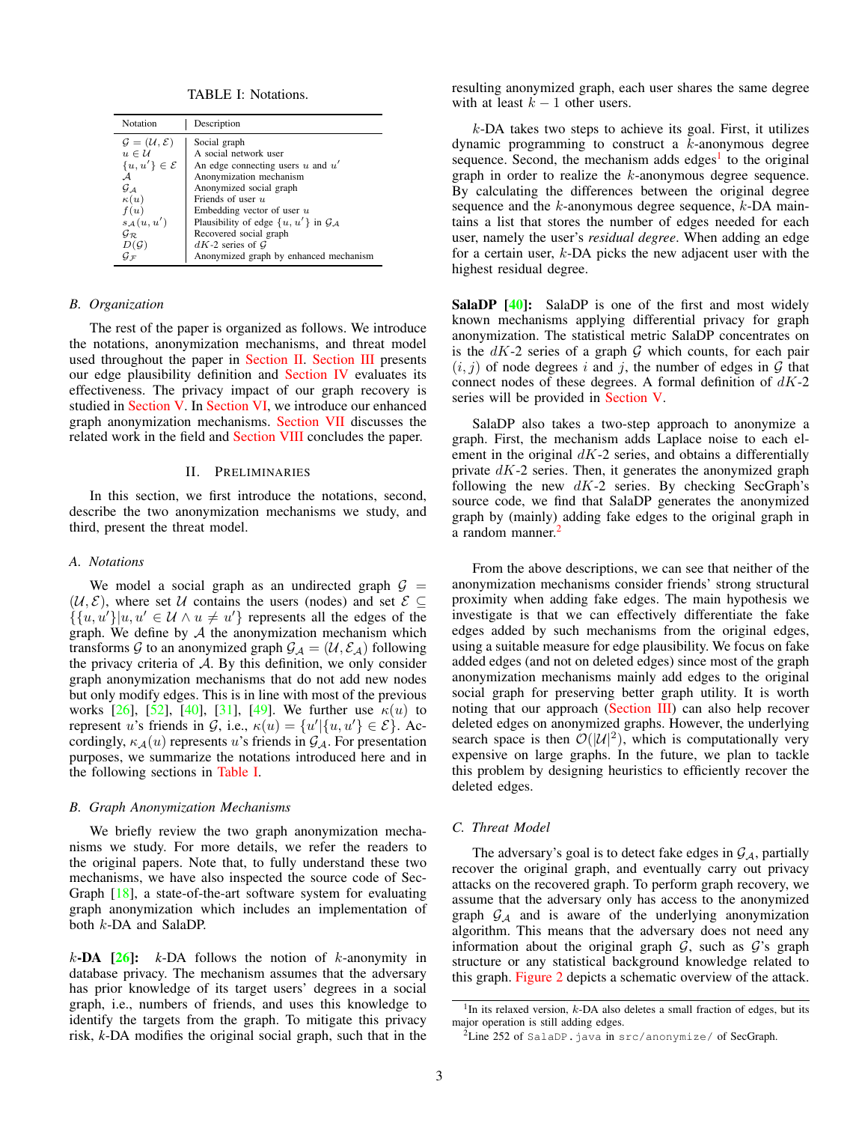TABLE I: Notations.

<span id="page-2-4"></span><span id="page-2-1"></span>

| Notation                                   | Description                                         |
|--------------------------------------------|-----------------------------------------------------|
| $\mathcal{G} = (\mathcal{U}, \mathcal{E})$ | Social graph                                        |
| $u \in \mathcal{U}$                        | A social network user                               |
| $\{u, u'\}\in \mathcal{E}$                 | An edge connecting users u and $u'$                 |
| ${\cal A}$                                 | Anonymization mechanism                             |
| $G_A$                                      | Anonymized social graph                             |
| $\kappa(u)$                                | Friends of user $u$                                 |
| f(u)                                       | Embedding vector of user $u$                        |
| $s_A(u, u')$                               | Plausibility of edge $\{u, u'\}$ in $\mathcal{G}_A$ |
| $\mathcal{G}_{\mathcal{R}}$                | Recovered social graph                              |
| $D(\mathcal{G})$                           | $dK-2$ series of G                                  |
| $G_{\mathcal{F}}$                          | Anonymized graph by enhanced mechanism              |

# *B. Organization*

The rest of the paper is organized as follows. We introduce the notations, anonymization mechanisms, and threat model used throughout the paper in [Section II.](#page-2-0) [Section III](#page-3-0) presents our edge plausibility definition and [Section IV](#page-3-1) evaluates its effectiveness. The privacy impact of our graph recovery is studied in [Section V.](#page-7-0) In [Section VI,](#page-9-0) we introduce our enhanced graph anonymization mechanisms. [Section VII](#page-12-2) discusses the related work in the field and [Section VIII](#page-12-3) concludes the paper.

#### II. PRELIMINARIES

<span id="page-2-0"></span>In this section, we first introduce the notations, second, describe the two anonymization mechanisms we study, and third, present the threat model.

# *A. Notations*

We model a social graph as an undirected graph  $G =$  $(\mathcal{U}, \mathcal{E})$ , where set U contains the users (nodes) and set  $\mathcal{E} \subseteq$  $\{(u, u')| u, u' \in \mathcal{U} \land u \neq u'\}$  represents all the edges of the graph. We define by  $A$  the anonymization mechanism which transforms G to an anonymized graph  $\mathcal{G}_A = (\mathcal{U}, \mathcal{E}_A)$  following the privacy criteria of  $A$ . By this definition, we only consider graph anonymization mechanisms that do not add new nodes but only modify edges. This is in line with most of the previous works [\[26\]](#page-13-6), [\[52\]](#page-14-5), [\[40\]](#page-13-7), [\[31\]](#page-13-8), [\[49\]](#page-14-2). We further use  $\kappa(u)$  to represent u's friends in G, i.e.,  $\kappa(u) = \{u' | \{u, u'\} \in \mathcal{E}\}\)$ . Accordingly,  $\kappa_{\mathcal{A}}(u)$  represents u's friends in  $\mathcal{G}_{\mathcal{A}}$ . For presentation purposes, we summarize the notations introduced here and in the following sections in [Table I.](#page-2-1)

#### *B. Graph Anonymization Mechanisms*

We briefly review the two graph anonymization mechanisms we study. For more details, we refer the readers to the original papers. Note that, to fully understand these two mechanisms, we have also inspected the source code of Sec-Graph [\[18\]](#page-13-14), a state-of-the-art software system for evaluating graph anonymization which includes an implementation of both k-DA and SalaDP.

 $k$ -DA  $[26]$ :  $k$ -DA follows the notion of  $k$ -anonymity in database privacy. The mechanism assumes that the adversary has prior knowledge of its target users' degrees in a social graph, i.e., numbers of friends, and uses this knowledge to identify the targets from the graph. To mitigate this privacy risk, *k*-DA modifies the original social graph, such that in the resulting anonymized graph, each user shares the same degree with at least  $k - 1$  other users.

 $k$ -DA takes two steps to achieve its goal. First, it utilizes dynamic programming to construct a  $k$ -anonymous degree sequence. Second, the mechanism adds edges<sup>[1](#page-2-2)</sup> to the original graph in order to realize the k-anonymous degree sequence. By calculating the differences between the original degree sequence and the  $k$ -anonymous degree sequence,  $k$ -DA maintains a list that stores the number of edges needed for each user, namely the user's *residual degree*. When adding an edge for a certain user, k-DA picks the new adjacent user with the highest residual degree.

SalaDP [\[40\]](#page-13-7): SalaDP is one of the first and most widely known mechanisms applying differential privacy for graph anonymization. The statistical metric SalaDP concentrates on is the  $dK-2$  series of a graph  $G$  which counts, for each pair  $(i, j)$  of node degrees i and j, the number of edges in G that connect nodes of these degrees. A formal definition of  $dK-2$ series will be provided in [Section V.](#page-7-0)

SalaDP also takes a two-step approach to anonymize a graph. First, the mechanism adds Laplace noise to each element in the original  $dK-2$  series, and obtains a differentially private  $dK-2$  series. Then, it generates the anonymized graph following the new  $dK-2$  series. By checking SecGraph's source code, we find that SalaDP generates the anonymized graph by (mainly) adding fake edges to the original graph in a random manner.<sup>[2](#page-2-3)</sup>

From the above descriptions, we can see that neither of the anonymization mechanisms consider friends' strong structural proximity when adding fake edges. The main hypothesis we investigate is that we can effectively differentiate the fake edges added by such mechanisms from the original edges, using a suitable measure for edge plausibility. We focus on fake added edges (and not on deleted edges) since most of the graph anonymization mechanisms mainly add edges to the original social graph for preserving better graph utility. It is worth noting that our approach [\(Section III\)](#page-3-0) can also help recover deleted edges on anonymized graphs. However, the underlying search space is then  $\mathcal{O}(|\mathcal{U}|^2)$ , which is computationally very expensive on large graphs. In the future, we plan to tackle this problem by designing heuristics to efficiently recover the deleted edges.

# *C. Threat Model*

The adversary's goal is to detect fake edges in  $\mathcal{G}_A$ , partially recover the original graph, and eventually carry out privacy attacks on the recovered graph. To perform graph recovery, we assume that the adversary only has access to the anonymized graph  $\mathcal{G}_A$  and is aware of the underlying anonymization algorithm. This means that the adversary does not need any information about the original graph  $G$ , such as  $G$ 's graph structure or any statistical background knowledge related to this graph. [Figure 2](#page-3-2) depicts a schematic overview of the attack.

<span id="page-2-2"></span><sup>&</sup>lt;sup>1</sup>In its relaxed version,  $k$ -DA also deletes a small fraction of edges, but its major operation is still adding edges.

<span id="page-2-3"></span> $2$ Line 252 of SalaDP. java in src/anonymize/ of SecGraph.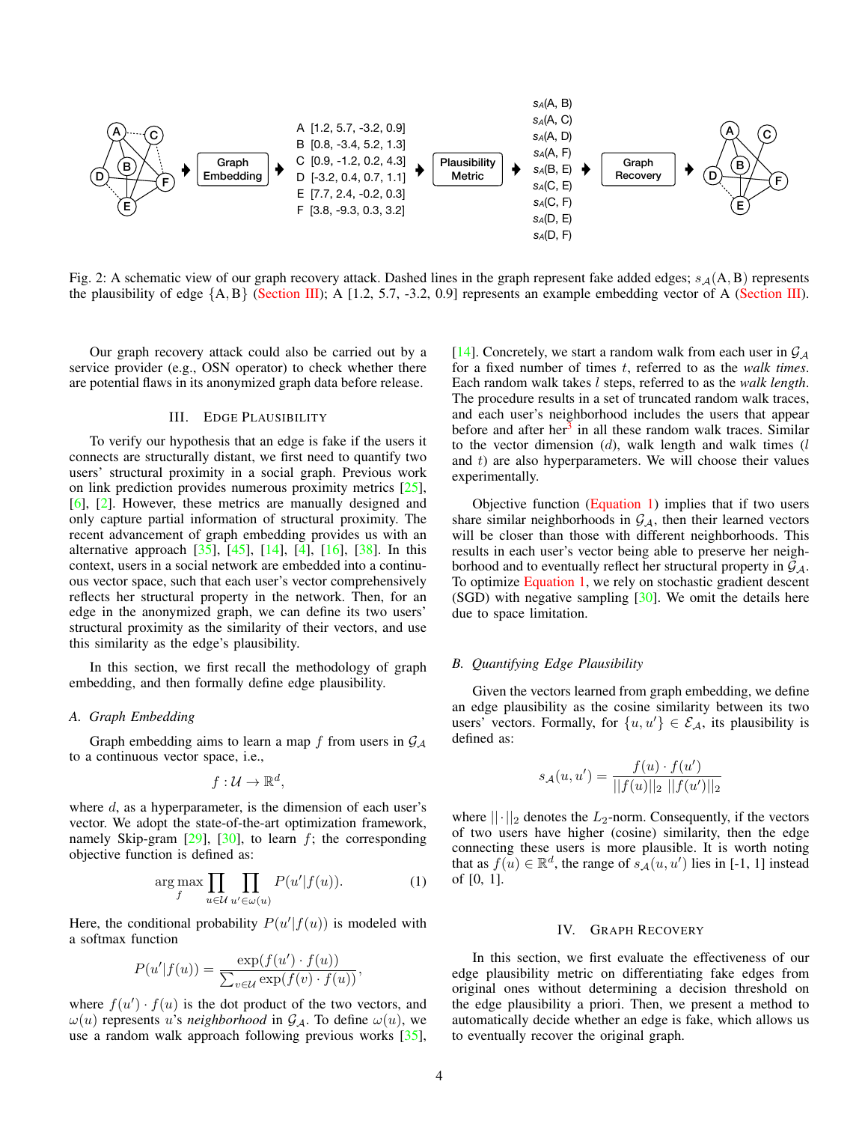<span id="page-3-4"></span><span id="page-3-2"></span>

Fig. 2: A schematic view of our graph recovery attack. Dashed lines in the graph represent fake added edges;  $s_A(A, B)$  represents the plausibility of edge  $\{A, B\}$  [\(Section III\)](#page-3-0); A [1.2, 5.7, -3.2, 0.9] represents an example embedding vector of A (Section III).

Our graph recovery attack could also be carried out by a service provider (e.g., OSN operator) to check whether there are potential flaws in its anonymized graph data before release.

## III. EDGE PLAUSIBILITY

<span id="page-3-0"></span>To verify our hypothesis that an edge is fake if the users it connects are structurally distant, we first need to quantify two users' structural proximity in a social graph. Previous work on link prediction provides numerous proximity metrics [\[25\]](#page-13-11), [\[6\]](#page-12-4), [\[2\]](#page-12-5). However, these metrics are manually designed and only capture partial information of structural proximity. The recent advancement of graph embedding provides us with an alternative approach [\[35\]](#page-13-12), [\[45\]](#page-14-6), [\[14\]](#page-13-13), [\[4\]](#page-12-0), [\[16\]](#page-13-16), [\[38\]](#page-13-17). In this context, users in a social network are embedded into a continuous vector space, such that each user's vector comprehensively reflects her structural property in the network. Then, for an edge in the anonymized graph, we can define its two users' structural proximity as the similarity of their vectors, and use this similarity as the edge's plausibility.

In this section, we first recall the methodology of graph embedding, and then formally define edge plausibility.

#### *A. Graph Embedding*

Graph embedding aims to learn a map f from users in  $\mathcal{G}_{\mathcal{A}}$ to a continuous vector space, i.e.,

$$
f:\mathcal{U}\to\mathbb{R}^d,
$$

where  $d$ , as a hyperparameter, is the dimension of each user's vector. We adopt the state-of-the-art optimization framework, namely Skip-gram  $[29]$ ,  $[30]$ , to learn f; the corresponding objective function is defined as:

<span id="page-3-3"></span>
$$
\underset{f}{\arg\max} \prod_{u \in \mathcal{U}} \prod_{u' \in \omega(u)} P(u'|f(u)). \tag{1}
$$

Here, the conditional probability  $P(u'|f(u))$  is modeled with a softmax function

$$
P(u'|f(u)) = \frac{\exp(f(u') \cdot f(u))}{\sum_{v \in \mathcal{U}} \exp(f(v) \cdot f(u))},
$$

where  $f(u') \cdot f(u)$  is the dot product of the two vectors, and  $\omega(u)$  represents u's *neighborhood* in  $\mathcal{G}_{\mathcal{A}}$ . To define  $\omega(u)$ , we use a random walk approach following previous works [\[35\]](#page-13-12), [\[14\]](#page-13-13). Concretely, we start a random walk from each user in  $\mathcal{G}_{A}$ for a fixed number of times t, referred to as the *walk times*. Each random walk takes l steps, referred to as the *walk length*. The procedure results in a set of truncated random walk traces, and each user's neighborhood includes the users that appear before and after her<sup>[3](#page-4-0)</sup> in all these random walk traces. Similar to the vector dimension  $(d)$ , walk length and walk times  $(l)$ and  $t$ ) are also hyperparameters. We will choose their values experimentally.

Objective function [\(Equation 1\)](#page-3-3) implies that if two users share similar neighborhoods in  $G_A$ , then their learned vectors will be closer than those with different neighborhoods. This results in each user's vector being able to preserve her neighborhood and to eventually reflect her structural property in  $G_A$ . To optimize [Equation 1,](#page-3-3) we rely on stochastic gradient descent  $(SGD)$  with negative sampling  $[30]$ . We omit the details here due to space limitation.

# *B. Quantifying Edge Plausibility*

Given the vectors learned from graph embedding, we define an edge plausibility as the cosine similarity between its two users' vectors. Formally, for  $\{u, u'\} \in \mathcal{E}_{\mathcal{A}}$ , its plausibility is defined as:

$$
s_{\mathcal{A}}(u, u') = \frac{f(u) \cdot f(u')}{||f(u)||_2 ||f(u')||_2}
$$

where  $||\cdot||_2$  denotes the  $L_2$ -norm. Consequently, if the vectors of two users have higher (cosine) similarity, then the edge connecting these users is more plausible. It is worth noting that as  $f(u) \in \mathbb{R}^d$ , the range of  $s_{\mathcal{A}}(u, u')$  lies in [-1, 1] instead of [0, 1].

#### IV. GRAPH RECOVERY

<span id="page-3-1"></span>In this section, we first evaluate the effectiveness of our edge plausibility metric on differentiating fake edges from original ones without determining a decision threshold on the edge plausibility a priori. Then, we present a method to automatically decide whether an edge is fake, which allows us to eventually recover the original graph.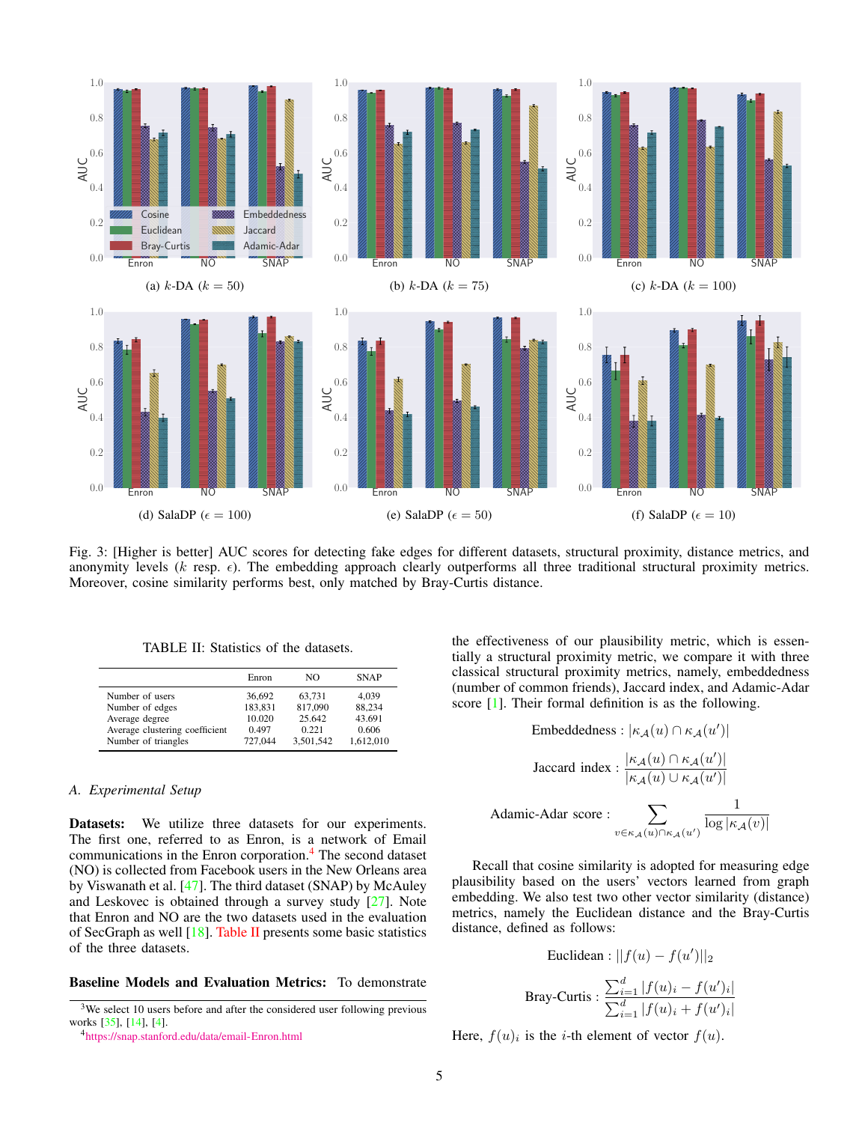<span id="page-4-4"></span><span id="page-4-3"></span>

Fig. 3: [Higher is better] AUC scores for detecting fake edges for different datasets, structural proximity, distance metrics, and anonymity levels  $(k \text{ resp. } \epsilon)$ . The embedding approach clearly outperforms all three traditional structural proximity metrics. Moreover, cosine similarity performs best, only matched by Bray-Curtis distance.

<span id="page-4-2"></span>

|                                | Enron   | NO.       | <b>SNAP</b> |
|--------------------------------|---------|-----------|-------------|
| Number of users                | 36,692  | 63,731    | 4,039       |
| Number of edges                | 183,831 | 817,090   | 88.234      |
| Average degree                 | 10.020  | 25.642    | 43.691      |
| Average clustering coefficient | 0.497   | 0.221     | 0.606       |
| Number of triangles            | 727.044 | 3.501.542 | 1.612.010   |

TABLE II: Statistics of the datasets.

## *A. Experimental Setup*

Number of triangles

Datasets: We utilize three datasets for our experiments. The first one, referred to as Enron, is a network of Email communications in the Enron corporation.[4](#page-4-1) The second dataset (NO) is collected from Facebook users in the New Orleans area by Viswanath et al. [\[47\]](#page-14-4). The third dataset (SNAP) by McAuley and Leskovec is obtained through a survey study [\[27\]](#page-13-20). Note that Enron and NO are the two datasets used in the evaluation of SecGraph as well [\[18\]](#page-13-14). [Table II](#page-4-2) presents some basic statistics of the three datasets.

# Baseline Models and Evaluation Metrics: To demonstrate

the effectiveness of our plausibility metric, which is essentially a structural proximity metric, we compare it with three classical structural proximity metrics, namely, embeddedness (number of common friends), Jaccard index, and Adamic-Adar score [\[1\]](#page-12-6). Their formal definition is as the following.

Embeddedness: 
$$
|\kappa_{\mathcal{A}}(u) \cap \kappa_{\mathcal{A}}(u')|
$$
  
\nJaccard index: 
$$
\frac{|\kappa_{\mathcal{A}}(u) \cap \kappa_{\mathcal{A}}(u')|}{|\kappa_{\mathcal{A}}(u) \cup \kappa_{\mathcal{A}}(u')|}
$$
  
\nAdamic-Adar score: 
$$
\sum_{v \in \kappa_{\mathcal{A}}(u) \cap \kappa_{\mathcal{A}}(u')} \frac{1}{\log |\kappa_{\mathcal{A}}(v)|}
$$

Recall that cosine similarity is adopted for measuring edge plausibility based on the users' vectors learned from graph embedding. We also test two other vector similarity (distance) metrics, namely the Euclidean distance and the Bray-Curtis distance, defined as follows:

Euclidean: 
$$
||f(u) - f(u')||_2
$$
  
Bray-Curtis: 
$$
\frac{\sum_{i=1}^{d} |f(u)_i - f(u')_i|}{\sum_{i=1}^{d} |f(u)_i + f(u')_i|}
$$

Here,  $f(u)_i$  is the *i*-th element of vector  $f(u)$ .

<span id="page-4-0"></span> $3$ We select 10 users before and after the considered user following previous works [\[35\]](#page-13-12), [\[14\]](#page-13-13), [\[4\]](#page-12-0).

<span id="page-4-1"></span><sup>4</sup><https://snap.stanford.edu/data/email-Enron.html>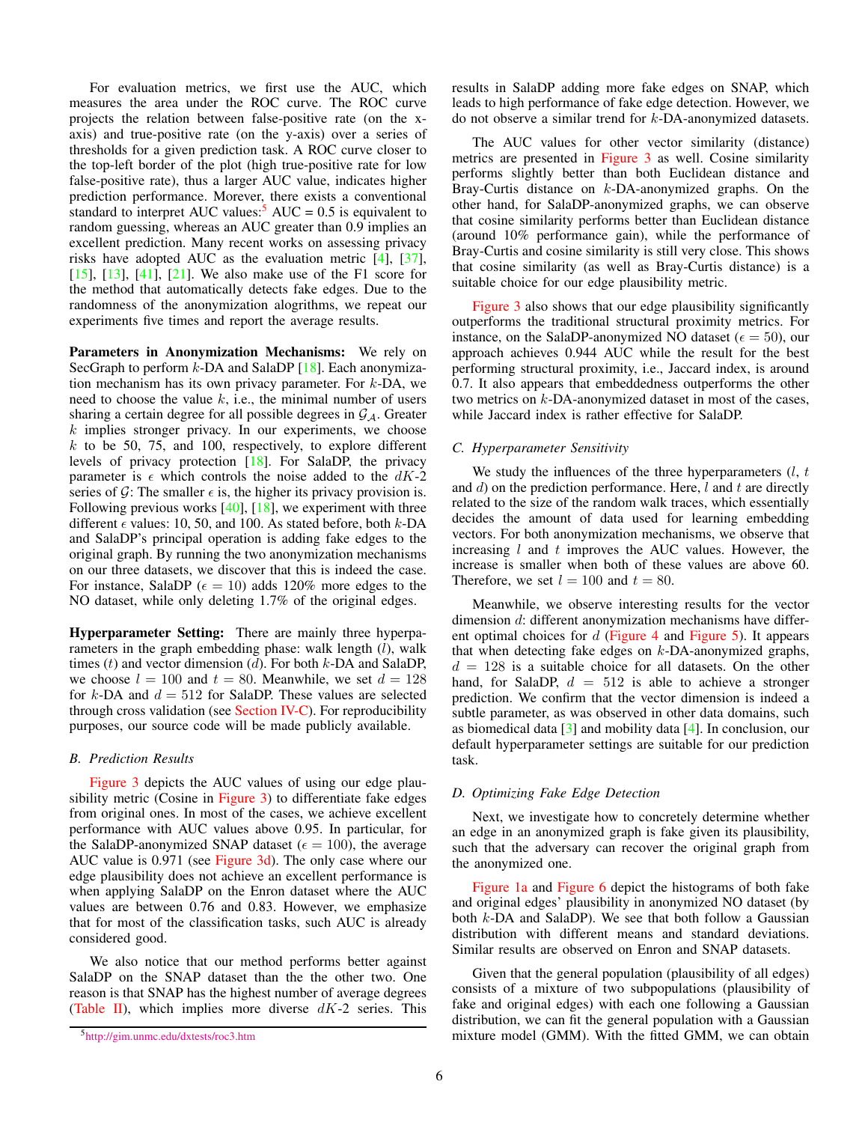<span id="page-5-2"></span>For evaluation metrics, we first use the AUC, which measures the area under the ROC curve. The ROC curve projects the relation between false-positive rate (on the xaxis) and true-positive rate (on the y-axis) over a series of thresholds for a given prediction task. A ROC curve closer to the top-left border of the plot (high true-positive rate for low false-positive rate), thus a larger AUC value, indicates higher prediction performance. Morever, there exists a conventional standard to interpret AUC values: $5 \text{ AUC} = 0.5$  $5 \text{ AUC} = 0.5$  is equivalent to random guessing, whereas an AUC greater than 0.9 implies an excellent prediction. Many recent works on assessing privacy risks have adopted AUC as the evaluation metric [\[4\]](#page-12-0), [\[37\]](#page-13-21), [\[15\]](#page-13-22), [\[13\]](#page-13-23), [\[41\]](#page-13-24), [\[21\]](#page-13-25). We also make use of the F1 score for the method that automatically detects fake edges. Due to the randomness of the anonymization alogrithms, we repeat our experiments five times and report the average results.

Parameters in Anonymization Mechanisms: We rely on SecGraph to perform  $k$ -DA and SalaDP [\[18\]](#page-13-14). Each anonymization mechanism has its own privacy parameter. For  $k$ -DA, we need to choose the value  $k$ , i.e., the minimal number of users sharing a certain degree for all possible degrees in  $\mathcal{G}_{\mathcal{A}}$ . Greater  $k$  implies stronger privacy. In our experiments, we choose  $k$  to be 50, 75, and 100, respectively, to explore different levels of privacy protection [\[18\]](#page-13-14). For SalaDP, the privacy parameter is  $\epsilon$  which controls the noise added to the dK-2 series of  $\mathcal{G}$ : The smaller  $\epsilon$  is, the higher its privacy provision is. Following previous works  $[40]$ ,  $[18]$ , we experiment with three different  $\epsilon$  values: 10, 50, and 100. As stated before, both k-DA and SalaDP's principal operation is adding fake edges to the original graph. By running the two anonymization mechanisms on our three datasets, we discover that this is indeed the case. For instance, SalaDP ( $\epsilon = 10$ ) adds 120% more edges to the NO dataset, while only deleting 1.7% of the original edges.

Hyperparameter Setting: There are mainly three hyperparameters in the graph embedding phase: walk length  $(l)$ , walk times  $(t)$  and vector dimension  $(d)$ . For both  $k$ -DA and SalaDP, we choose  $l = 100$  and  $t = 80$ . Meanwhile, we set  $d = 128$ for  $k$ -DA and  $d = 512$  for SalaDP. These values are selected through cross validation (see [Section IV-C\)](#page-5-1). For reproducibility purposes, our source code will be made publicly available.

# *B. Prediction Results*

[Figure 3](#page-4-3) depicts the AUC values of using our edge plausibility metric (Cosine in [Figure 3\)](#page-4-3) to differentiate fake edges from original ones. In most of the cases, we achieve excellent performance with AUC values above 0.95. In particular, for the SalaDP-anonymized SNAP dataset ( $\epsilon = 100$ ), the average AUC value is 0.971 (see [Figure 3d\)](#page-4-3). The only case where our edge plausibility does not achieve an excellent performance is when applying SalaDP on the Enron dataset where the AUC values are between 0.76 and 0.83. However, we emphasize that for most of the classification tasks, such AUC is already considered good.

We also notice that our method performs better against SalaDP on the SNAP dataset than the the other two. One reason is that SNAP has the highest number of average degrees [\(Table II\)](#page-4-2), which implies more diverse  $dK-2$  series. This results in SalaDP adding more fake edges on SNAP, which leads to high performance of fake edge detection. However, we do not observe a similar trend for k-DA-anonymized datasets.

The AUC values for other vector similarity (distance) metrics are presented in [Figure 3](#page-4-3) as well. Cosine similarity performs slightly better than both Euclidean distance and Bray-Curtis distance on k-DA-anonymized graphs. On the other hand, for SalaDP-anonymized graphs, we can observe that cosine similarity performs better than Euclidean distance (around 10% performance gain), while the performance of Bray-Curtis and cosine similarity is still very close. This shows that cosine similarity (as well as Bray-Curtis distance) is a suitable choice for our edge plausibility metric.

[Figure 3](#page-4-3) also shows that our edge plausibility significantly outperforms the traditional structural proximity metrics. For instance, on the SalaDP-anonymized NO dataset ( $\epsilon = 50$ ), our approach achieves 0.944 AUC while the result for the best performing structural proximity, i.e., Jaccard index, is around 0.7. It also appears that embeddedness outperforms the other two metrics on k-DA-anonymized dataset in most of the cases, while Jaccard index is rather effective for SalaDP.

## <span id="page-5-1"></span>*C. Hyperparameter Sensitivity*

We study the influences of the three hyperparameters  $(l, t)$ and  $d$ ) on the prediction performance. Here,  $l$  and  $t$  are directly related to the size of the random walk traces, which essentially decides the amount of data used for learning embedding vectors. For both anonymization mechanisms, we observe that increasing  $l$  and  $t$  improves the AUC values. However, the increase is smaller when both of these values are above 60. Therefore, we set  $l = 100$  and  $t = 80$ .

Meanwhile, we observe interesting results for the vector dimension d: different anonymization mechanisms have different optimal choices for  $d$  [\(Figure 4](#page-6-0) and [Figure 5\)](#page-6-1). It appears that when detecting fake edges on  $k$ -DA-anonymized graphs,  $d = 128$  is a suitable choice for all datasets. On the other hand, for SalaDP,  $d = 512$  is able to achieve a stronger prediction. We confirm that the vector dimension is indeed a subtle parameter, as was observed in other data domains, such as biomedical data [\[3\]](#page-12-7) and mobility data [\[4\]](#page-12-0). In conclusion, our default hyperparameter settings are suitable for our prediction task.

## *D. Optimizing Fake Edge Detection*

Next, we investigate how to concretely determine whether an edge in an anonymized graph is fake given its plausibility, such that the adversary can recover the original graph from the anonymized one.

[Figure 1a](#page-1-0) and [Figure 6](#page-7-1) depict the histograms of both fake and original edges' plausibility in anonymized NO dataset (by both k-DA and SalaDP). We see that both follow a Gaussian distribution with different means and standard deviations. Similar results are observed on Enron and SNAP datasets.

Given that the general population (plausibility of all edges) consists of a mixture of two subpopulations (plausibility of fake and original edges) with each one following a Gaussian distribution, we can fit the general population with a Gaussian mixture model (GMM). With the fitted GMM, we can obtain

<span id="page-5-0"></span><sup>5</sup><http://gim.unmc.edu/dxtests/roc3.htm>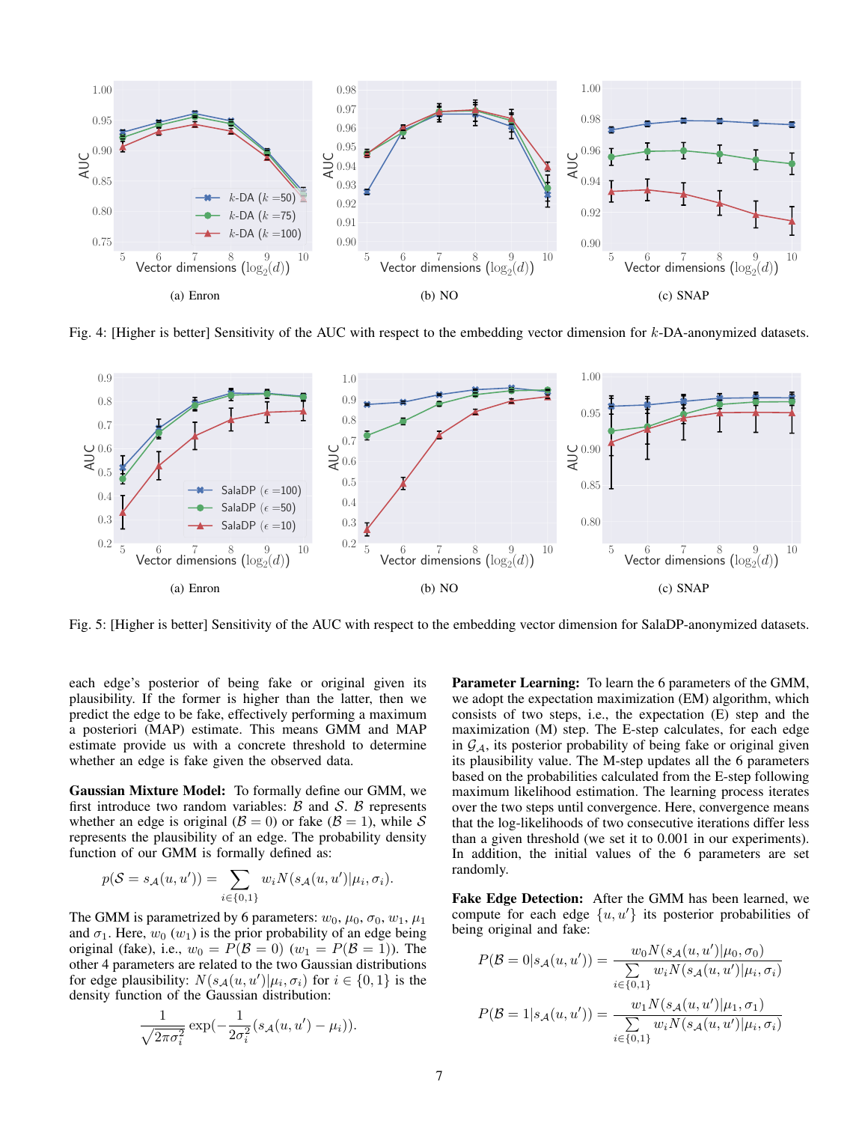<span id="page-6-0"></span>

Fig. 4: [Higher is better] Sensitivity of the AUC with respect to the embedding vector dimension for  $k$ -DA-anonymized datasets.

<span id="page-6-1"></span>

Fig. 5: [Higher is better] Sensitivity of the AUC with respect to the embedding vector dimension for SalaDP-anonymized datasets.

each edge's posterior of being fake or original given its plausibility. If the former is higher than the latter, then we predict the edge to be fake, effectively performing a maximum a posteriori (MAP) estimate. This means GMM and MAP estimate provide us with a concrete threshold to determine whether an edge is fake given the observed data.

Gaussian Mixture Model: To formally define our GMM, we first introduce two random variables:  $\beta$  and  $\delta$ .  $\beta$  represents whether an edge is original ( $\mathcal{B} = 0$ ) or fake ( $\mathcal{B} = 1$ ), while S represents the plausibility of an edge. The probability density function of our GMM is formally defined as:

$$
p(S = s_{\mathcal{A}}(u, u')) = \sum_{i \in \{0, 1\}} w_i N(s_{\mathcal{A}}(u, u') | \mu_i, \sigma_i).
$$

The GMM is parametrized by 6 parameters:  $w_0$ ,  $\mu_0$ ,  $\sigma_0$ ,  $w_1$ ,  $\mu_1$ and  $\sigma_1$ . Here,  $w_0(w_1)$  is the prior probability of an edge being original (fake), i.e.,  $w_0 = P(\mathcal{B} = 0)$  ( $w_1 = P(\mathcal{B} = 1)$ ). The other 4 parameters are related to the two Gaussian distributions for edge plausibility:  $N(s_A(u, u') | \mu_i, \sigma_i)$  for  $i \in \{0, 1\}$  is the density function of the Gaussian distribution:

$$
\frac{1}{\sqrt{2\pi\sigma_i^2}}\exp(-\frac{1}{2\sigma_i^2}(s_{\mathcal{A}}(u,u')-\mu_i)).
$$

Parameter Learning: To learn the 6 parameters of the GMM, we adopt the expectation maximization (EM) algorithm, which consists of two steps, i.e., the expectation (E) step and the maximization (M) step. The E-step calculates, for each edge in  $\mathcal{G}_A$ , its posterior probability of being fake or original given its plausibility value. The M-step updates all the 6 parameters based on the probabilities calculated from the E-step following maximum likelihood estimation. The learning process iterates over the two steps until convergence. Here, convergence means that the log-likelihoods of two consecutive iterations differ less than a given threshold (we set it to 0.001 in our experiments). In addition, the initial values of the 6 parameters are set randomly.

Fake Edge Detection: After the GMM has been learned, we compute for each edge  $\{u, u'\}$  its posterior probabilities of being original and fake:

$$
P(\mathcal{B} = 0 | s_{\mathcal{A}}(u, u')) = \frac{w_0 N(s_{\mathcal{A}}(u, u') | \mu_0, \sigma_0)}{\sum\limits_{i \in \{0, 1\}} w_i N(s_{\mathcal{A}}(u, u') | \mu_i, \sigma_i)}
$$

$$
P(\mathcal{B} = 1 | s_{\mathcal{A}}(u, u')) = \frac{w_1 N(s_{\mathcal{A}}(u, u') | \mu_1, \sigma_1)}{\sum\limits_{i \in \{0, 1\}} w_i N(s_{\mathcal{A}}(u, u') | \mu_i, \sigma_i)}
$$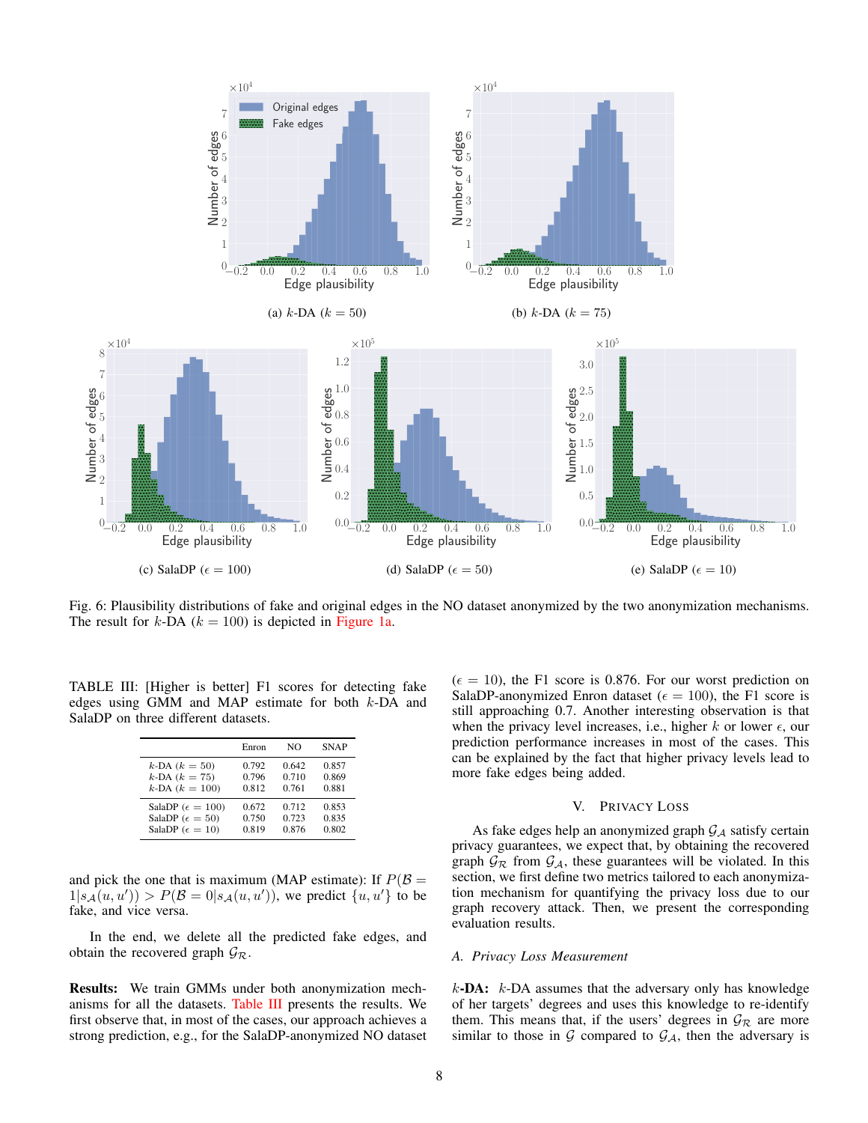<span id="page-7-1"></span>

Fig. 6: Plausibility distributions of fake and original edges in the NO dataset anonymized by the two anonymization mechanisms. The result for  $k$ -DA ( $k = 100$ ) is depicted in [Figure 1a.](#page-1-0)

<span id="page-7-2"></span>TABLE III: [Higher is better] F1 scores for detecting fake edges using GMM and MAP estimate for both k-DA and SalaDP on three different datasets.

|                             | Enron | NΟ    | <b>SNAP</b> |
|-----------------------------|-------|-------|-------------|
| $k$ -DA $(k = 50)$          | 0.792 | 0.642 | 0.857       |
| $k$ -DA $(k = 75)$          | 0.796 | 0.710 | 0.869       |
| $k$ -DA $(k = 100)$         | 0.812 | 0.761 | 0.881       |
| SalaDP ( $\epsilon = 100$ ) | 0.672 | 0.712 | 0.853       |
| SalaDP ( $\epsilon = 50$ )  | 0.750 | 0.723 | 0.835       |
| SalaDP ( $\epsilon = 10$ )  | 0.819 | 0.876 | 0.802       |

and pick the one that is maximum (MAP estimate): If  $P(\mathcal{B} =$  $1|s_{\mathcal{A}}(u, u')) > P(\mathcal{B} = 0|s_{\mathcal{A}}(u, u'))$ , we predict  $\{u, u'\}$  to be fake, and vice versa.

In the end, we delete all the predicted fake edges, and obtain the recovered graph  $\mathcal{G}_{\mathcal{R}}$ .

Results: We train GMMs under both anonymization mechanisms for all the datasets. [Table III](#page-7-2) presents the results. We first observe that, in most of the cases, our approach achieves a strong prediction, e.g., for the SalaDP-anonymized NO dataset  $(\epsilon = 10)$ , the F1 score is 0.876. For our worst prediction on SalaDP-anonymized Enron dataset ( $\epsilon = 100$ ), the F1 score is still approaching 0.7. Another interesting observation is that when the privacy level increases, i.e., higher k or lower  $\epsilon$ , our prediction performance increases in most of the cases. This can be explained by the fact that higher privacy levels lead to more fake edges being added.

#### V. PRIVACY LOSS

<span id="page-7-0"></span>As fake edges help an anonymized graph  $G_A$  satisfy certain privacy guarantees, we expect that, by obtaining the recovered graph  $\mathcal{G}_{\mathcal{R}}$  from  $\mathcal{G}_{\mathcal{A}}$ , these guarantees will be violated. In this section, we first define two metrics tailored to each anonymization mechanism for quantifying the privacy loss due to our graph recovery attack. Then, we present the corresponding evaluation results.

#### *A. Privacy Loss Measurement*

 $k$ -DA:  $k$ -DA assumes that the adversary only has knowledge of her targets' degrees and uses this knowledge to re-identify them. This means that, if the users' degrees in  $\mathcal{G}_R$  are more similar to those in  $G$  compared to  $G_A$ , then the adversary is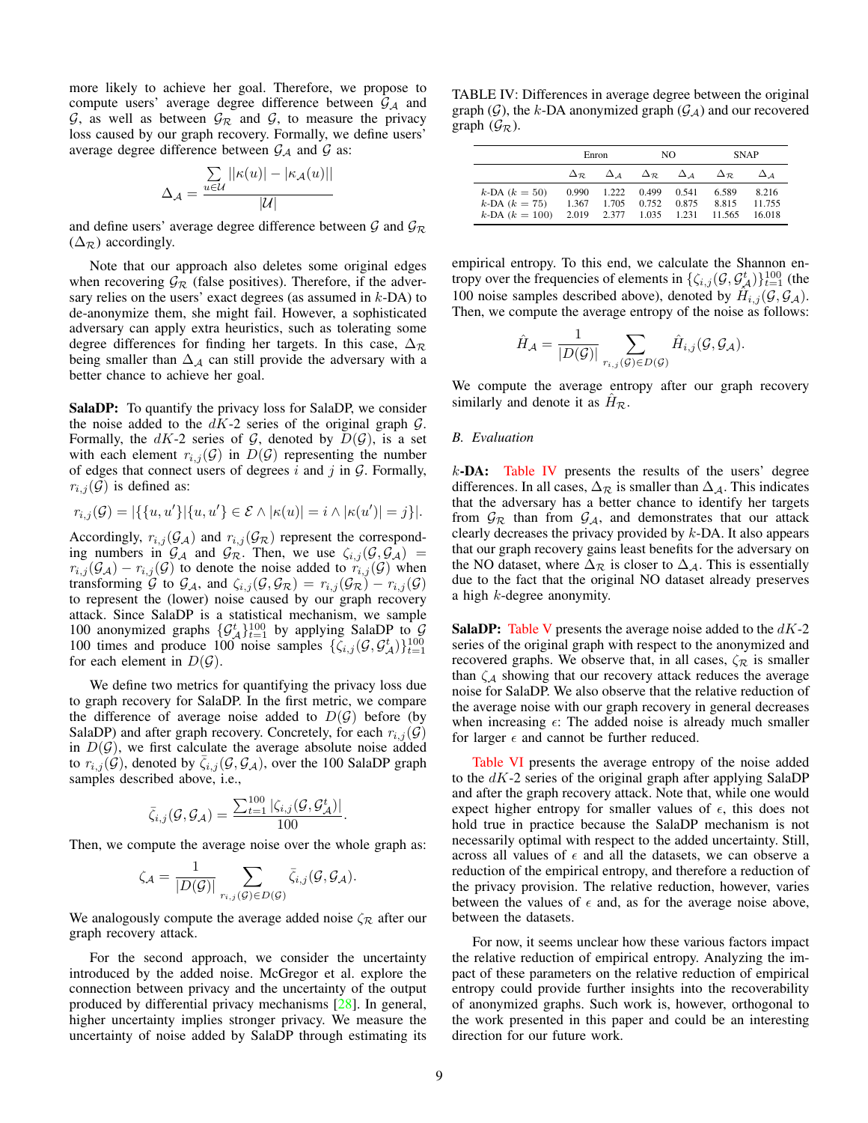<span id="page-8-1"></span>more likely to achieve her goal. Therefore, we propose to compute users' average degree difference between  $G_A$  and  $\mathcal{G}$ , as well as between  $\mathcal{G}_{\mathcal{R}}$  and  $\mathcal{G}$ , to measure the privacy loss caused by our graph recovery. Formally, we define users' average degree difference between  $G_A$  and  $G$  as:

$$
\Delta_{\mathcal{A}} = \frac{\sum\limits_{u \in \mathcal{U}} ||\kappa(u)| - |\kappa_{\mathcal{A}}(u)||}{|\mathcal{U}|}
$$

and define users' average degree difference between  $\mathcal{G}$  and  $\mathcal{G}_{\mathcal{R}}$  $(\Delta_{\mathcal{R}})$  accordingly.

Note that our approach also deletes some original edges when recovering  $\mathcal{G}_{R}$  (false positives). Therefore, if the adversary relies on the users' exact degrees (as assumed in  $k$ -DA) to de-anonymize them, she might fail. However, a sophisticated adversary can apply extra heuristics, such as tolerating some degree differences for finding her targets. In this case,  $\Delta_{\mathcal{R}}$ being smaller than  $\Delta_A$  can still provide the adversary with a better chance to achieve her goal.

SalaDP: To quantify the privacy loss for SalaDP, we consider the noise added to the  $dK-2$  series of the original graph  $\mathcal{G}$ . Formally, the  $dK-2$  series of  $G$ , denoted by  $D(G)$ , is a set with each element  $r_{i,j}(\mathcal{G})$  in  $D(\mathcal{G})$  representing the number of edges that connect users of degrees  $i$  and  $j$  in  $\mathcal{G}$ . Formally,  $r_{i,j}(\mathcal{G})$  is defined as:

$$
r_{i,j}(\mathcal{G})=|\{\{u,u'\}| \{u,u'\}\in \mathcal{E} \wedge |\kappa(u)|=i \wedge |\kappa(u')|=j\}|.
$$

Accordingly,  $r_{i,j}(\mathcal{G}_\mathcal{A})$  and  $r_{i,j}(\mathcal{G}_\mathcal{R})$  represent the corresponding numbers in  $\mathcal{G}_{\mathcal{A}}$  and  $\mathcal{G}_{\mathcal{R}}$ . Then, we use  $\zeta_{i,j}(\mathcal{G}, \mathcal{G}_{\mathcal{A}})$  =  $r_{i,j}(\mathcal{G}_\mathcal{A}) - r_{i,j}(\mathcal{G})$  to denote the noise added to  $r_{i,j}(\mathcal{G})$  when transforming G to  $\mathcal{G}_A$ , and  $\zeta_{i,j}(\mathcal{G}, \mathcal{G}_{\mathcal{R}}) = r_{i,j}(\mathcal{G}_{\mathcal{R}}) - r_{i,j}(\mathcal{G})$ to represent the (lower) noise caused by our graph recovery attack. Since SalaDP is a statistical mechanism, we sample 100 anonymized graphs  $\{\mathcal{G}_{\mathcal{A}}^{t}\}_{t=1}^{100}$  by applying SalaDP to  $\mathcal{G}_{\mathcal{A}}^{t}$ 100 times and produce 100 noise samples  $\{\zeta_{i,j}(\mathcal{G}, \mathcal{G}_{\mathcal{A}}^t)\}_{t=1}^{100}$ for each element in  $D(G)$ .

We define two metrics for quantifying the privacy loss due to graph recovery for SalaDP. In the first metric, we compare the difference of average noise added to  $D(G)$  before (by SalaDP) and after graph recovery. Concretely, for each  $r_{i,j}(\mathcal{G})$ in  $D(G)$ , we first calculate the average absolute noise added to  $r_{i,j}(\mathcal{G})$ , denoted by  $\zeta_{i,j}(\mathcal{G}, \mathcal{G}_\mathcal{A})$ , over the 100 SalaDP graph samples described above, i.e.,

$$
\bar{\zeta}_{i,j}(\mathcal{G},\mathcal{G}_{\mathcal{A}}) = \frac{\sum_{t=1}^{100} |\zeta_{i,j}(\mathcal{G},\mathcal{G}_{\mathcal{A}}^{t})|}{100}.
$$

Then, we compute the average noise over the whole graph as:

$$
\zeta_{\mathcal{A}} = \frac{1}{|D(\mathcal{G})|} \sum_{r_{i,j}(\mathcal{G}) \in D(\mathcal{G})} \bar{\zeta}_{i,j}(\mathcal{G}, \mathcal{G}_{\mathcal{A}}).
$$

We analogously compute the average added noise  $\zeta_{\mathcal{R}}$  after our graph recovery attack.

For the second approach, we consider the uncertainty introduced by the added noise. McGregor et al. explore the connection between privacy and the uncertainty of the output produced by differential privacy mechanisms [\[28\]](#page-13-26). In general, higher uncertainty implies stronger privacy. We measure the uncertainty of noise added by SalaDP through estimating its

<span id="page-8-0"></span>TABLE IV: Differences in average degree between the original graph  $(G)$ , the k-DA anonymized graph  $(G_A)$  and our recovered graph  $(\mathcal{G}_{\mathcal{R}})$ .

|                                                                 | Enron                   |                         | NO.                     |                         | <b>SNAP</b>              |                          |
|-----------------------------------------------------------------|-------------------------|-------------------------|-------------------------|-------------------------|--------------------------|--------------------------|
|                                                                 | $\Delta_{\mathcal{P}}$  | $\Delta A$              | $\Delta_{\mathcal{R}}$  | $\Delta$ 4              | $\Delta_{\mathcal{R}}$   |                          |
| $k$ -DA $(k = 50)$<br>$k$ -DA $(k = 75)$<br>$k$ -DA $(k = 100)$ | 0.990<br>1.367<br>2.019 | 1.222<br>1.705<br>2.377 | 0.499<br>0.752<br>1.035 | 0.541<br>0.875<br>1.231 | 6.589<br>8.815<br>11.565 | 8.216<br>11.755<br>16018 |

empirical entropy. To this end, we calculate the Shannon entropy over the frequencies of elements in  $\{\zeta_{i,j}(\mathcal{G}, \mathcal{G}_{\mathcal{A}}^{t})\}_{t=1}^{100}$  (the 100 noise samples described above), denoted by  $\hat{H}_{i,j}(\mathcal{G}, \mathcal{G}_A)$ . Then, we compute the average entropy of the noise as follows:

$$
\hat{H}_{\mathcal{A}} = \frac{1}{|D(\mathcal{G})|} \sum_{r_{i,j}(\mathcal{G}) \in D(\mathcal{G})} \hat{H}_{i,j}(\mathcal{G}, \mathcal{G}_{\mathcal{A}}).
$$

We compute the average entropy after our graph recovery similarly and denote it as  $H_{\mathcal{R}}$ .

#### *B. Evaluation*

 $k$ -DA: [Table IV](#page-8-0) presents the results of the users' degree differences. In all cases,  $\Delta_{\mathcal{R}}$  is smaller than  $\Delta_{\mathcal{A}}$ . This indicates that the adversary has a better chance to identify her targets from  $\mathcal{G}_{R}$  than from  $\mathcal{G}_{A}$ , and demonstrates that our attack clearly decreases the privacy provided by  $k$ -DA. It also appears that our graph recovery gains least benefits for the adversary on the NO dataset, where  $\Delta_{\mathcal{R}}$  is closer to  $\Delta_{\mathcal{A}}$ . This is essentially due to the fact that the original NO dataset already preserves a high k-degree anonymity.

**SalaDP:** [Table V](#page-9-1) presents the average noise added to the  $dK-2$ series of the original graph with respect to the anonymized and recovered graphs. We observe that, in all cases,  $\zeta_{\mathcal{R}}$  is smaller than  $\zeta_A$  showing that our recovery attack reduces the average noise for SalaDP. We also observe that the relative reduction of the average noise with our graph recovery in general decreases when increasing  $\epsilon$ : The added noise is already much smaller for larger  $\epsilon$  and cannot be further reduced.

[Table VI](#page-9-2) presents the average entropy of the noise added to the  $dK-2$  series of the original graph after applying SalaDP and after the graph recovery attack. Note that, while one would expect higher entropy for smaller values of  $\epsilon$ , this does not hold true in practice because the SalaDP mechanism is not necessarily optimal with respect to the added uncertainty. Still, across all values of  $\epsilon$  and all the datasets, we can observe a reduction of the empirical entropy, and therefore a reduction of the privacy provision. The relative reduction, however, varies between the values of  $\epsilon$  and, as for the average noise above, between the datasets.

For now, it seems unclear how these various factors impact the relative reduction of empirical entropy. Analyzing the impact of these parameters on the relative reduction of empirical entropy could provide further insights into the recoverability of anonymized graphs. Such work is, however, orthogonal to the work presented in this paper and could be an interesting direction for our future work.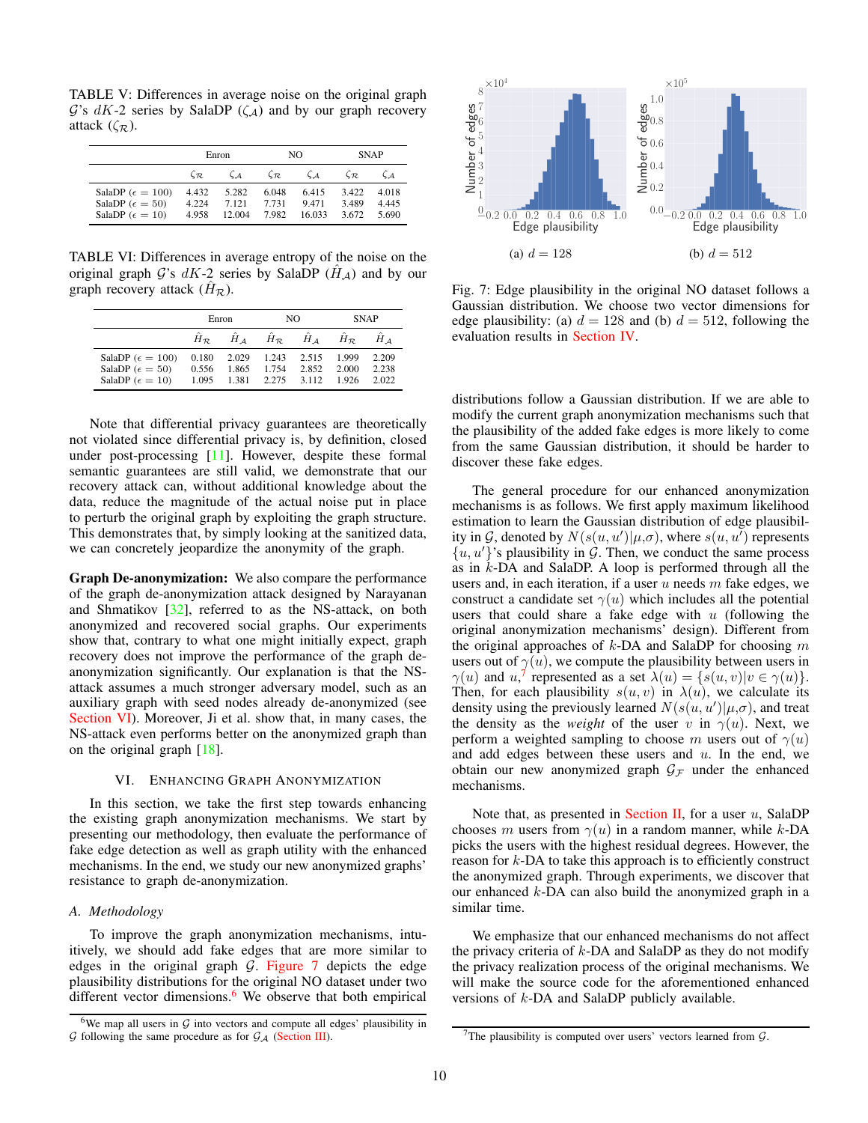<span id="page-9-6"></span><span id="page-9-1"></span>TABLE V: Differences in average noise on the original graph  $\mathcal{G}$ 's dK-2 series by SalaDP ( $\zeta_A$ ) and by our graph recovery attack  $(\zeta_{\mathcal{R}})$ .

|                                                                                         | Enron                   |                          | NO.                     |                         | <b>SNAP</b>             |                         |
|-----------------------------------------------------------------------------------------|-------------------------|--------------------------|-------------------------|-------------------------|-------------------------|-------------------------|
|                                                                                         | $C_{\mathcal{R}}$       | $\zeta_A$                | $\zeta_{\mathcal{R}_-}$ | $\zeta_A$               | $\zeta_{\mathcal{R}}$   |                         |
| SalaDP ( $\epsilon = 100$ )<br>SalaDP ( $\epsilon = 50$ )<br>SalaDP ( $\epsilon = 10$ ) | 4.432<br>4.224<br>4.958 | 5.282<br>7.121<br>12.004 | 6.048<br>7.731<br>7.982 | 6.415<br>9471<br>16.033 | 3.422<br>3.489<br>3.672 | 4.018<br>4.445<br>5.690 |

<span id="page-9-2"></span>TABLE VI: Differences in average entropy of the noise on the original graph G's  $dK-2$  series by SalaDP  $(H_A)$  and by our graph recovery attack  $(\hat{H}_{\mathcal{R}})$ .

|                                                                                         | Enron                   |                         | NO                      |                         | <b>SNAP</b>            |                         |
|-----------------------------------------------------------------------------------------|-------------------------|-------------------------|-------------------------|-------------------------|------------------------|-------------------------|
|                                                                                         | $H_{\mathcal{D}}$       | $H \sim$                | $H_{\mathcal{R}}$       | $H_{4}$                 | $H_{\mathcal{R}}$      | $H \Lambda$             |
| SalaDP ( $\epsilon = 100$ )<br>SalaDP ( $\epsilon = 50$ )<br>SalaDP ( $\epsilon = 10$ ) | 0.180<br>0.556<br>1.095 | 2.029<br>1.865<br>1.381 | 1.243<br>1.754<br>2.275 | 2.515<br>2.852<br>3.112 | 1.999<br>2.000<br>1926 | 2.209<br>2.238<br>2.022 |

Note that differential privacy guarantees are theoretically not violated since differential privacy is, by definition, closed under post-processing [\[11\]](#page-13-10). However, despite these formal semantic guarantees are still valid, we demonstrate that our recovery attack can, without additional knowledge about the data, reduce the magnitude of the actual noise put in place to perturb the original graph by exploiting the graph structure. This demonstrates that, by simply looking at the sanitized data, we can concretely jeopardize the anonymity of the graph.

Graph De-anonymization: We also compare the performance of the graph de-anonymization attack designed by Narayanan and Shmatikov [\[32\]](#page-13-15), referred to as the NS-attack, on both anonymized and recovered social graphs. Our experiments show that, contrary to what one might initially expect, graph recovery does not improve the performance of the graph deanonymization significantly. Our explanation is that the NSattack assumes a much stronger adversary model, such as an auxiliary graph with seed nodes already de-anonymized (see [Section VI\)](#page-9-0). Moreover, Ji et al. show that, in many cases, the NS-attack even performs better on the anonymized graph than on the original graph [\[18\]](#page-13-14).

# VI. ENHANCING GRAPH ANONYMIZATION

<span id="page-9-0"></span>In this section, we take the first step towards enhancing the existing graph anonymization mechanisms. We start by presenting our methodology, then evaluate the performance of fake edge detection as well as graph utility with the enhanced mechanisms. In the end, we study our new anonymized graphs' resistance to graph de-anonymization.

#### *A. Methodology*

To improve the graph anonymization mechanisms, intuitively, we should add fake edges that are more similar to edges in the original graph  $G$ . Figure  $7$  depicts the edge plausibility distributions for the original NO dataset under two different vector dimensions.<sup>[6](#page-9-4)</sup> We observe that both empirical

<span id="page-9-3"></span>

Fig. 7: Edge plausibility in the original NO dataset follows a Gaussian distribution. We choose two vector dimensions for edge plausibility: (a)  $d = 128$  and (b)  $d = 512$ , following the evaluation results in [Section IV.](#page-3-1)

distributions follow a Gaussian distribution. If we are able to modify the current graph anonymization mechanisms such that the plausibility of the added fake edges is more likely to come from the same Gaussian distribution, it should be harder to discover these fake edges.

The general procedure for our enhanced anonymization mechanisms is as follows. We first apply maximum likelihood estimation to learn the Gaussian distribution of edge plausibility in G, denoted by  $N(s(u, u') | \mu, \sigma)$ , where  $s(u, u')$  represents  $\{u, u'\}$ 's plausibility in  $\mathcal G$ . Then, we conduct the same process as in k-DA and SalaDP. A loop is performed through all the users and, in each iteration, if a user  $u$  needs  $m$  fake edges, we construct a candidate set  $\gamma(u)$  which includes all the potential users that could share a fake edge with  $u$  (following the original anonymization mechanisms' design). Different from the original approaches of  $k$ -DA and SalaDP for choosing  $m$ users out of  $\gamma(u)$ , we compute the plausibility between users in  $\gamma(u)$  and  $u$ ,<sup>[7](#page-9-5)</sup> represented as a set  $\lambda(u) = \{s(u, v) | v \in \gamma(u)\}.$ Then, for each plausibility  $s(u, v)$  in  $\lambda(u)$ , we calculate its density using the previously learned  $N(s(u, u') | \mu, \sigma)$ , and treat the density as the *weight* of the user v in  $\gamma(u)$ . Next, we perform a weighted sampling to choose m users out of  $\gamma(u)$ and add edges between these users and  $u$ . In the end, we obtain our new anonymized graph  $\mathcal{G}_\mathcal{F}$  under the enhanced mechanisms.

Note that, as presented in [Section II,](#page-2-0) for a user  $u$ , SalaDP chooses m users from  $\gamma(u)$  in a random manner, while k-DA picks the users with the highest residual degrees. However, the reason for k-DA to take this approach is to efficiently construct the anonymized graph. Through experiments, we discover that our enhanced  $k$ -DA can also build the anonymized graph in a similar time.

We emphasize that our enhanced mechanisms do not affect the privacy criteria of  $k$ -DA and SalaDP as they do not modify the privacy realization process of the original mechanisms. We will make the source code for the aforementioned enhanced versions of k-DA and SalaDP publicly available.

<span id="page-9-4"></span><sup>&</sup>lt;sup>6</sup>We map all users in  $G$  into vectors and compute all edges' plausibility in  $G$  following the same procedure as for  $G_A$  [\(Section III\)](#page-3-0).

<span id="page-9-5"></span><sup>&</sup>lt;sup>7</sup>The plausibility is computed over users' vectors learned from  $G$ .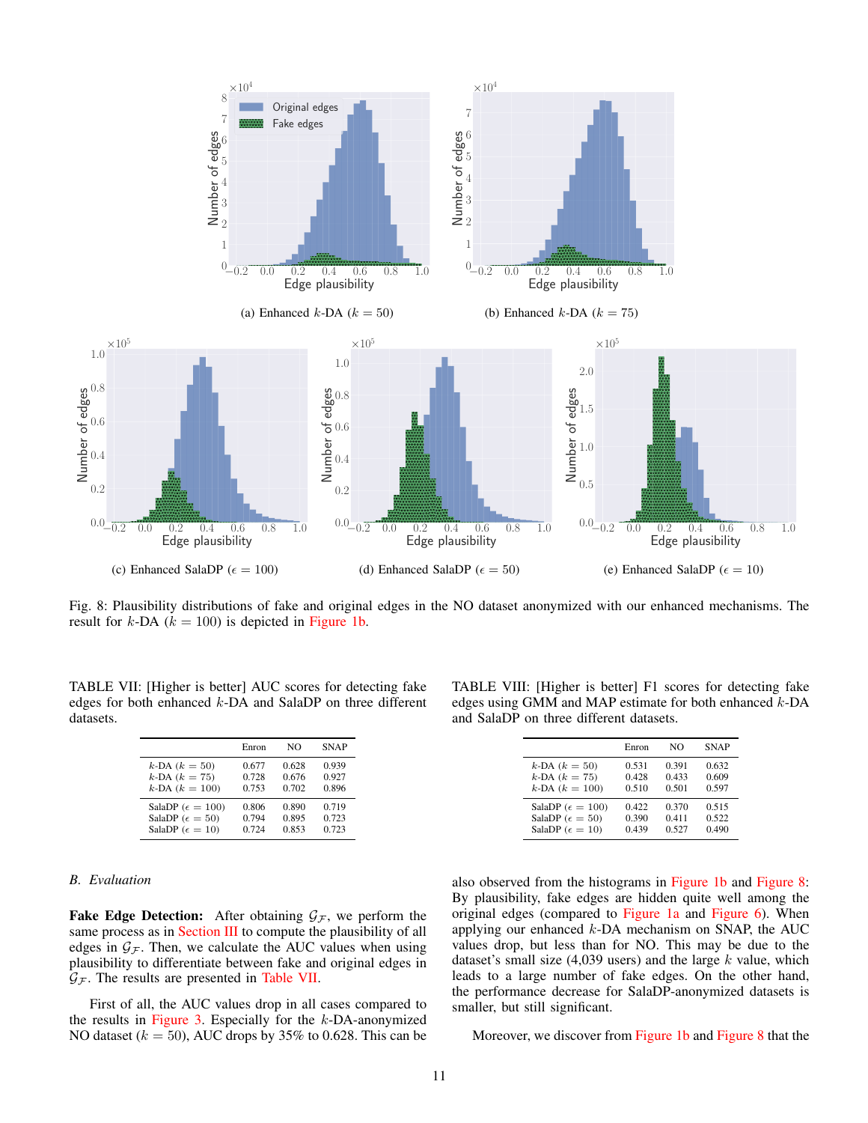<span id="page-10-1"></span>

Fig. 8: Plausibility distributions of fake and original edges in the NO dataset anonymized with our enhanced mechanisms. The result for  $k$ -DA ( $k = 100$ ) is depicted in [Figure 1b.](#page-1-0)

<span id="page-10-0"></span>TABLE VII: [Higher is better] AUC scores for detecting fake edges for both enhanced k-DA and SalaDP on three different datasets.

|                             | Enron | NΩ    | <b>SNAP</b> |
|-----------------------------|-------|-------|-------------|
| $k$ -DA $(k = 50)$          | 0.677 | 0.628 | 0.939       |
| $k$ -DA $(k = 75)$          | 0.728 | 0.676 | 0.927       |
| $k$ -DA $(k = 100)$         | 0.753 | 0.702 | 0.896       |
| SalaDP ( $\epsilon = 100$ ) | 0.806 | 0.890 | 0.719       |
| SalaDP ( $\epsilon = 50$ )  | 0.794 | 0.895 | 0.723       |
| SalaDP ( $\epsilon = 10$ )  | 0.724 | 0.853 | 0.723       |

# *B. Evaluation*

**Fake Edge Detection:** After obtaining  $\mathcal{G}_\mathcal{F}$ , we perform the same process as in [Section III](#page-3-0) to compute the plausibility of all edges in  $\mathcal{G}_\mathcal{F}$ . Then, we calculate the AUC values when using plausibility to differentiate between fake and original edges in  $\mathcal{G}_\mathcal{F}$ . The results are presented in [Table VII.](#page-10-0)

First of all, the AUC values drop in all cases compared to the results in [Figure 3.](#page-4-3) Especially for the  $k$ -DA-anonymized NO dataset ( $k = 50$ ), AUC drops by 35% to 0.628. This can be

<span id="page-10-2"></span>TABLE VIII: [Higher is better] F1 scores for detecting fake edges using GMM and MAP estimate for both enhanced k-DA and SalaDP on three different datasets.

|                             | Enron | NΩ    | <b>SNAP</b> |
|-----------------------------|-------|-------|-------------|
| $k$ -DA $(k = 50)$          | 0.531 | 0.391 | 0.632       |
| $k$ -DA $(k = 75)$          | 0.428 | 0.433 | 0.609       |
| $k$ -DA $(k = 100)$         | 0.510 | 0.501 | 0.597       |
| SalaDP ( $\epsilon = 100$ ) | 0.422 | 0.370 | 0.515       |
| SalaDP ( $\epsilon = 50$ )  | 0.390 | 0.411 | 0.522       |
| SalaDP ( $\epsilon = 10$ )  | 0.439 | 0.527 | 0.490       |

also observed from the histograms in [Figure 1b](#page-1-0) and [Figure 8:](#page-10-1) By plausibility, fake edges are hidden quite well among the original edges (compared to [Figure 1a](#page-1-0) and [Figure 6\)](#page-7-1). When applying our enhanced k-DA mechanism on SNAP, the AUC values drop, but less than for NO. This may be due to the dataset's small size  $(4,039 \text{ users})$  and the large k value, which leads to a large number of fake edges. On the other hand, the performance decrease for SalaDP-anonymized datasets is smaller, but still significant.

Moreover, we discover from [Figure 1b](#page-1-0) and [Figure 8](#page-10-1) that the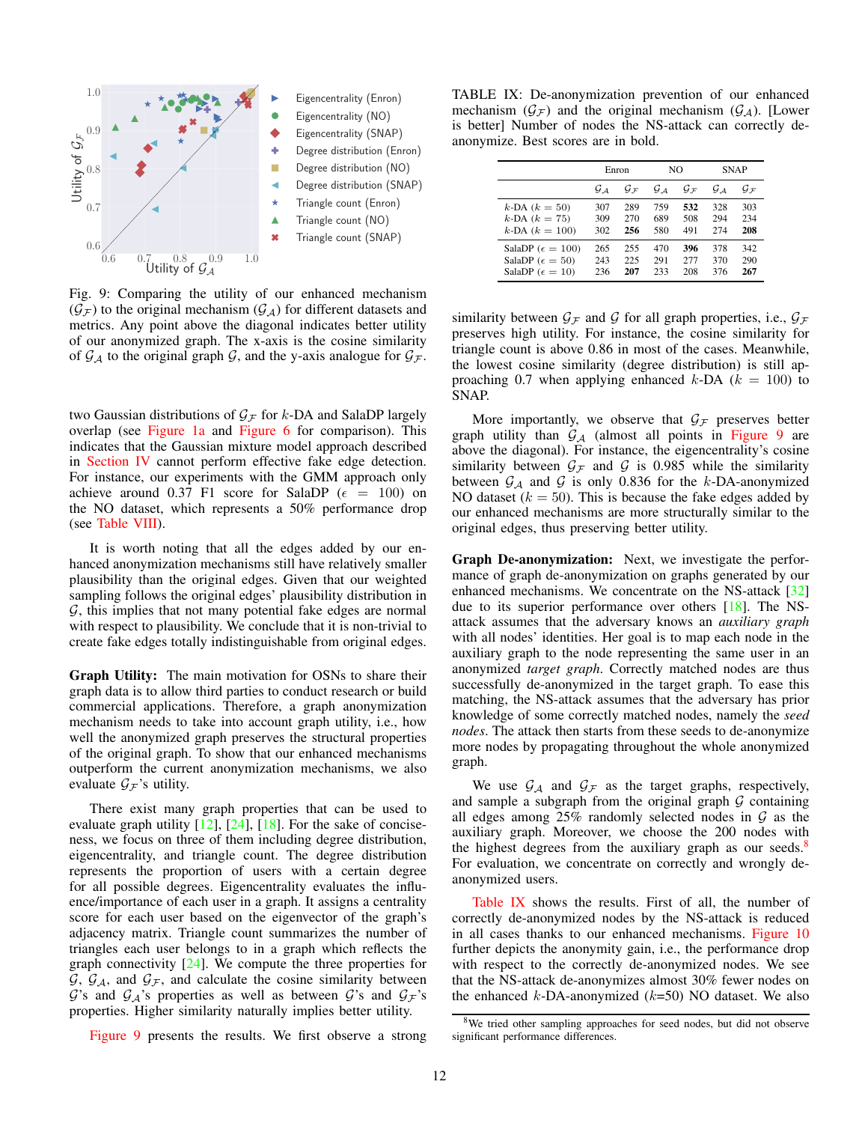<span id="page-11-3"></span><span id="page-11-0"></span>

Fig. 9: Comparing the utility of our enhanced mechanism  $(\mathcal{G}_\mathcal{F})$  to the original mechanism  $(\mathcal{G}_\mathcal{A})$  for different datasets and metrics. Any point above the diagonal indicates better utility of our anonymized graph. The x-axis is the cosine similarity of  $\mathcal{G}_{\mathcal{A}}$  to the original graph  $\mathcal{G}$ , and the y-axis analogue for  $\mathcal{G}_{\mathcal{F}}$ .

two Gaussian distributions of  $\mathcal{G}_\mathcal{F}$  for k-DA and SalaDP largely overlap (see [Figure 1a](#page-1-0) and [Figure 6](#page-7-1) for comparison). This indicates that the Gaussian mixture model approach described in [Section IV](#page-3-1) cannot perform effective fake edge detection. For instance, our experiments with the GMM approach only achieve around 0.37 F1 score for SalaDP ( $\epsilon$  = 100) on the NO dataset, which represents a 50% performance drop (see [Table VIII\)](#page-10-2).

It is worth noting that all the edges added by our enhanced anonymization mechanisms still have relatively smaller plausibility than the original edges. Given that our weighted sampling follows the original edges' plausibility distribution in  $G$ , this implies that not many potential fake edges are normal with respect to plausibility. We conclude that it is non-trivial to create fake edges totally indistinguishable from original edges.

Graph Utility: The main motivation for OSNs to share their graph data is to allow third parties to conduct research or build commercial applications. Therefore, a graph anonymization mechanism needs to take into account graph utility, i.e., how well the anonymized graph preserves the structural properties of the original graph. To show that our enhanced mechanisms outperform the current anonymization mechanisms, we also evaluate  $\mathcal{G}_\mathcal{F}$ 's utility.

There exist many graph properties that can be used to evaluate graph utility  $[12]$ ,  $[24]$ ,  $[18]$ . For the sake of conciseness, we focus on three of them including degree distribution, eigencentrality, and triangle count. The degree distribution represents the proportion of users with a certain degree for all possible degrees. Eigencentrality evaluates the influence/importance of each user in a graph. It assigns a centrality score for each user based on the eigenvector of the graph's adjacency matrix. Triangle count summarizes the number of triangles each user belongs to in a graph which reflects the graph connectivity [\[24\]](#page-13-28). We compute the three properties for  $G, G_A$ , and  $G_F$ , and calculate the cosine similarity between G's and  $\mathcal{G}_A$ 's properties as well as between G's and  $\mathcal{G}_F$ 's properties. Higher similarity naturally implies better utility.

[Figure 9](#page-11-0) presents the results. We first observe a strong

<span id="page-11-2"></span>TABLE IX: De-anonymization prevention of our enhanced mechanism  $(\mathcal{G}_{\mathcal{F}})$  and the original mechanism  $(\mathcal{G}_{\mathcal{A}})$ . [Lower is better] Number of nodes the NS-attack can correctly deanonymize. Best scores are in bold.

|                             | Enron |                   | NO.   |                   | <b>SNAP</b> |                           |
|-----------------------------|-------|-------------------|-------|-------------------|-------------|---------------------------|
|                             | $G_A$ | $G_{\mathcal{F}}$ | $G_A$ | $G_{\mathcal{F}}$ | $G_A$       | $\mathcal{G}_\mathcal{F}$ |
| $k$ -DA $(k = 50)$          | 307   | 289               | 759   | 532               | 328         | 303                       |
| $k$ -DA $(k = 75)$          | 309   | 270               | 689   | 508               | 294         | 234                       |
| $k$ -DA $(k = 100)$         | 302   | 256               | 580   | 491               | 274         | 208                       |
| SalaDP ( $\epsilon = 100$ ) | 265   | 255               | 470   | 396               | 378         | 342                       |
| SalaDP ( $\epsilon = 50$ )  | 243   | 225               | 291   | 277               | 370         | 290                       |
| SalaDP ( $\epsilon = 10$ )  | 236   | 207               | 233   | 208               | 376         | 267                       |

similarity between  $\mathcal{G}_F$  and  $\mathcal G$  for all graph properties, i.e.,  $\mathcal{G}_F$ preserves high utility. For instance, the cosine similarity for triangle count is above 0.86 in most of the cases. Meanwhile, the lowest cosine similarity (degree distribution) is still approaching 0.7 when applying enhanced  $k$ -DA ( $k = 100$ ) to SNAP.

More importantly, we observe that  $G_F$  preserves better graph utility than  $G_A$  (almost all points in [Figure 9](#page-11-0) are above the diagonal). For instance, the eigencentrality's cosine similarity between  $G_F$  and G is 0.985 while the similarity between  $G_A$  and G is only 0.836 for the k-DA-anonymized NO dataset ( $k = 50$ ). This is because the fake edges added by our enhanced mechanisms are more structurally similar to the original edges, thus preserving better utility.

Graph De-anonymization: Next, we investigate the performance of graph de-anonymization on graphs generated by our enhanced mechanisms. We concentrate on the NS-attack [\[32\]](#page-13-15) due to its superior performance over others [\[18\]](#page-13-14). The NSattack assumes that the adversary knows an *auxiliary graph* with all nodes' identities. Her goal is to map each node in the auxiliary graph to the node representing the same user in an anonymized *target graph*. Correctly matched nodes are thus successfully de-anonymized in the target graph. To ease this matching, the NS-attack assumes that the adversary has prior knowledge of some correctly matched nodes, namely the *seed nodes*. The attack then starts from these seeds to de-anonymize more nodes by propagating throughout the whole anonymized graph.

We use  $\mathcal{G}_{\mathcal{A}}$  and  $\mathcal{G}_{\mathcal{F}}$  as the target graphs, respectively, and sample a subgraph from the original graph  $G$  containing all edges among  $25\%$  randomly selected nodes in  $G$  as the auxiliary graph. Moreover, we choose the 200 nodes with the highest degrees from the auxiliary graph as our seeds. $8$ For evaluation, we concentrate on correctly and wrongly deanonymized users.

[Table IX](#page-11-2) shows the results. First of all, the number of correctly de-anonymized nodes by the NS-attack is reduced in all cases thanks to our enhanced mechanisms. [Figure 10](#page-12-8) further depicts the anonymity gain, i.e., the performance drop with respect to the correctly de-anonymized nodes. We see that the NS-attack de-anonymizes almost 30% fewer nodes on the enhanced  $k$ -DA-anonymized ( $k$ =50) NO dataset. We also

<span id="page-11-1"></span><sup>8</sup>We tried other sampling approaches for seed nodes, but did not observe significant performance differences.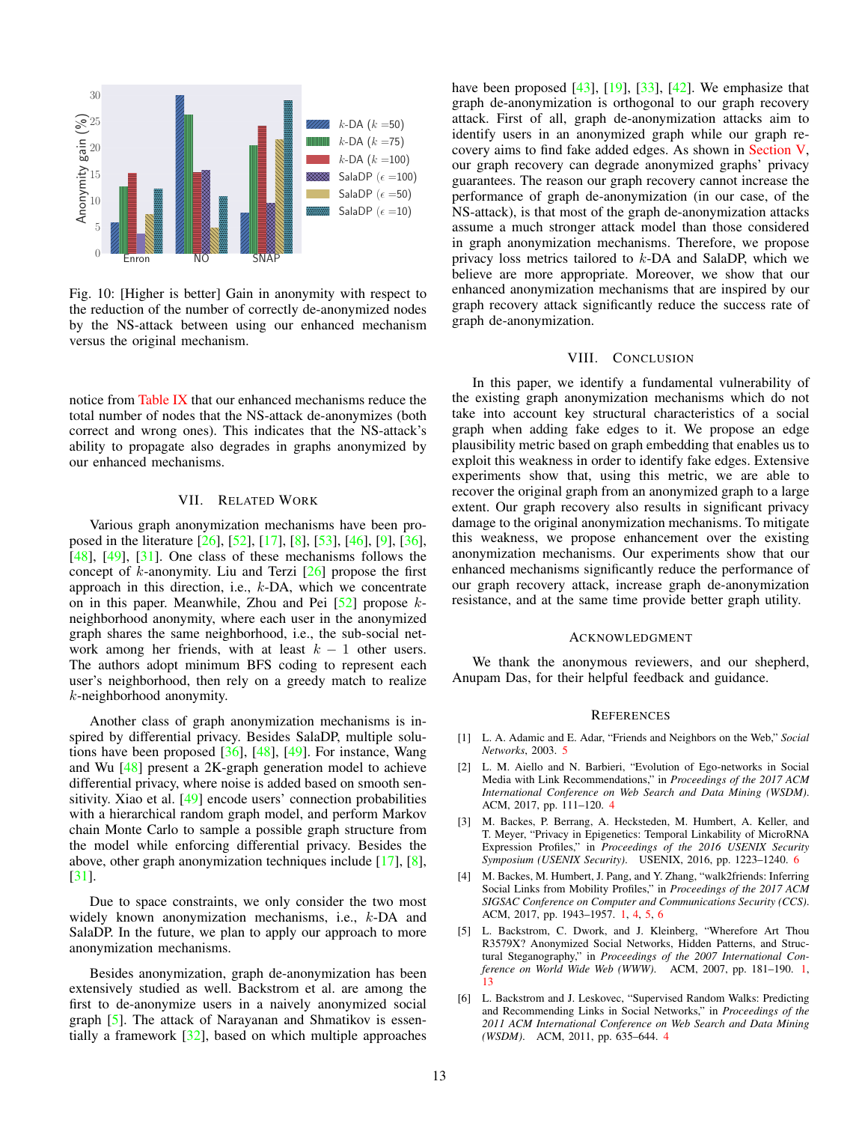<span id="page-12-9"></span><span id="page-12-8"></span>

Fig. 10: [Higher is better] Gain in anonymity with respect to the reduction of the number of correctly de-anonymized nodes by the NS-attack between using our enhanced mechanism versus the original mechanism.

notice from [Table IX](#page-11-2) that our enhanced mechanisms reduce the total number of nodes that the NS-attack de-anonymizes (both correct and wrong ones). This indicates that the NS-attack's ability to propagate also degrades in graphs anonymized by our enhanced mechanisms.

## VII. RELATED WORK

<span id="page-12-2"></span>Various graph anonymization mechanisms have been pro-posed in the literature [\[26\]](#page-13-6), [\[52\]](#page-14-5), [\[17\]](#page-13-29), [\[8\]](#page-13-30), [\[53\]](#page-14-7), [\[46\]](#page-14-8), [\[9\]](#page-13-31), [\[36\]](#page-13-32), [\[48\]](#page-14-9), [\[49\]](#page-14-2), [\[31\]](#page-13-8). One class of these mechanisms follows the concept of  $k$ -anonymity. Liu and Terzi  $[26]$  propose the first approach in this direction, i.e., k-DA, which we concentrate on in this paper. Meanwhile, Zhou and Pei  $[52]$  propose  $k$ neighborhood anonymity, where each user in the anonymized graph shares the same neighborhood, i.e., the sub-social network among her friends, with at least  $k - 1$  other users. The authors adopt minimum BFS coding to represent each user's neighborhood, then rely on a greedy match to realize k-neighborhood anonymity.

Another class of graph anonymization mechanisms is inspired by differential privacy. Besides SalaDP, multiple solutions have been proposed  $[36]$ ,  $[48]$ ,  $[49]$ . For instance, Wang and Wu [\[48\]](#page-14-9) present a 2K-graph generation model to achieve differential privacy, where noise is added based on smooth sensitivity. Xiao et al. [\[49\]](#page-14-2) encode users' connection probabilities with a hierarchical random graph model, and perform Markov chain Monte Carlo to sample a possible graph structure from the model while enforcing differential privacy. Besides the above, other graph anonymization techniques include [\[17\]](#page-13-29), [\[8\]](#page-13-30), [\[31\]](#page-13-8).

Due to space constraints, we only consider the two most widely known anonymization mechanisms, i.e., k-DA and SalaDP. In the future, we plan to apply our approach to more anonymization mechanisms.

Besides anonymization, graph de-anonymization has been extensively studied as well. Backstrom et al. are among the first to de-anonymize users in a naively anonymized social graph [\[5\]](#page-12-1). The attack of Narayanan and Shmatikov is essentially a framework [\[32\]](#page-13-15), based on which multiple approaches have been proposed [\[43\]](#page-13-33), [\[19\]](#page-13-34), [\[33\]](#page-13-35), [\[42\]](#page-13-36). We emphasize that graph de-anonymization is orthogonal to our graph recovery attack. First of all, graph de-anonymization attacks aim to identify users in an anonymized graph while our graph recovery aims to find fake added edges. As shown in [Section V,](#page-7-0) our graph recovery can degrade anonymized graphs' privacy guarantees. The reason our graph recovery cannot increase the performance of graph de-anonymization (in our case, of the NS-attack), is that most of the graph de-anonymization attacks assume a much stronger attack model than those considered in graph anonymization mechanisms. Therefore, we propose privacy loss metrics tailored to k-DA and SalaDP, which we believe are more appropriate. Moreover, we show that our enhanced anonymization mechanisms that are inspired by our graph recovery attack significantly reduce the success rate of graph de-anonymization.

## VIII. CONCLUSION

<span id="page-12-3"></span>In this paper, we identify a fundamental vulnerability of the existing graph anonymization mechanisms which do not take into account key structural characteristics of a social graph when adding fake edges to it. We propose an edge plausibility metric based on graph embedding that enables us to exploit this weakness in order to identify fake edges. Extensive experiments show that, using this metric, we are able to recover the original graph from an anonymized graph to a large extent. Our graph recovery also results in significant privacy damage to the original anonymization mechanisms. To mitigate this weakness, we propose enhancement over the existing anonymization mechanisms. Our experiments show that our enhanced mechanisms significantly reduce the performance of our graph recovery attack, increase graph de-anonymization resistance, and at the same time provide better graph utility.

#### **ACKNOWLEDGMENT**

We thank the anonymous reviewers, and our shepherd, Anupam Das, for their helpful feedback and guidance.

#### **REFERENCES**

- <span id="page-12-6"></span>[1] L. A. Adamic and E. Adar, "Friends and Neighbors on the Web," *Social Networks*, 2003. [5](#page-4-4)
- <span id="page-12-5"></span>[2] L. M. Aiello and N. Barbieri, "Evolution of Ego-networks in Social Media with Link Recommendations," in *Proceedings of the 2017 ACM International Conference on Web Search and Data Mining (WSDM)*. ACM, 2017, pp. 111–120. [4](#page-3-4)
- <span id="page-12-7"></span>[3] M. Backes, P. Berrang, A. Hecksteden, M. Humbert, A. Keller, and T. Meyer, "Privacy in Epigenetics: Temporal Linkability of MicroRNA Expression Profiles," in *Proceedings of the 2016 USENIX Security Symposium (USENIX Security)*. USENIX, 2016, pp. 1223–1240. [6](#page-5-2)
- <span id="page-12-0"></span>[4] M. Backes, M. Humbert, J. Pang, and Y. Zhang, "walk2friends: Inferring Social Links from Mobility Profiles," in *Proceedings of the 2017 ACM SIGSAC Conference on Computer and Communications Security (CCS)*. ACM, 2017, pp. 1943–1957. [1,](#page-0-0) [4,](#page-3-4) [5,](#page-4-4) [6](#page-5-2)
- <span id="page-12-1"></span>[5] L. Backstrom, C. Dwork, and J. Kleinberg, "Wherefore Art Thou R3579X? Anonymized Social Networks, Hidden Patterns, and Structural Steganography," in *Proceedings of the 2007 International Conference on World Wide Web (WWW)*. ACM, 2007, pp. 181–190. [1,](#page-0-0) [13](#page-12-9)
- <span id="page-12-4"></span>[6] L. Backstrom and J. Leskovec, "Supervised Random Walks: Predicting and Recommending Links in Social Networks," in *Proceedings of the 2011 ACM International Conference on Web Search and Data Mining (WSDM)*. ACM, 2011, pp. 635–644. [4](#page-3-4)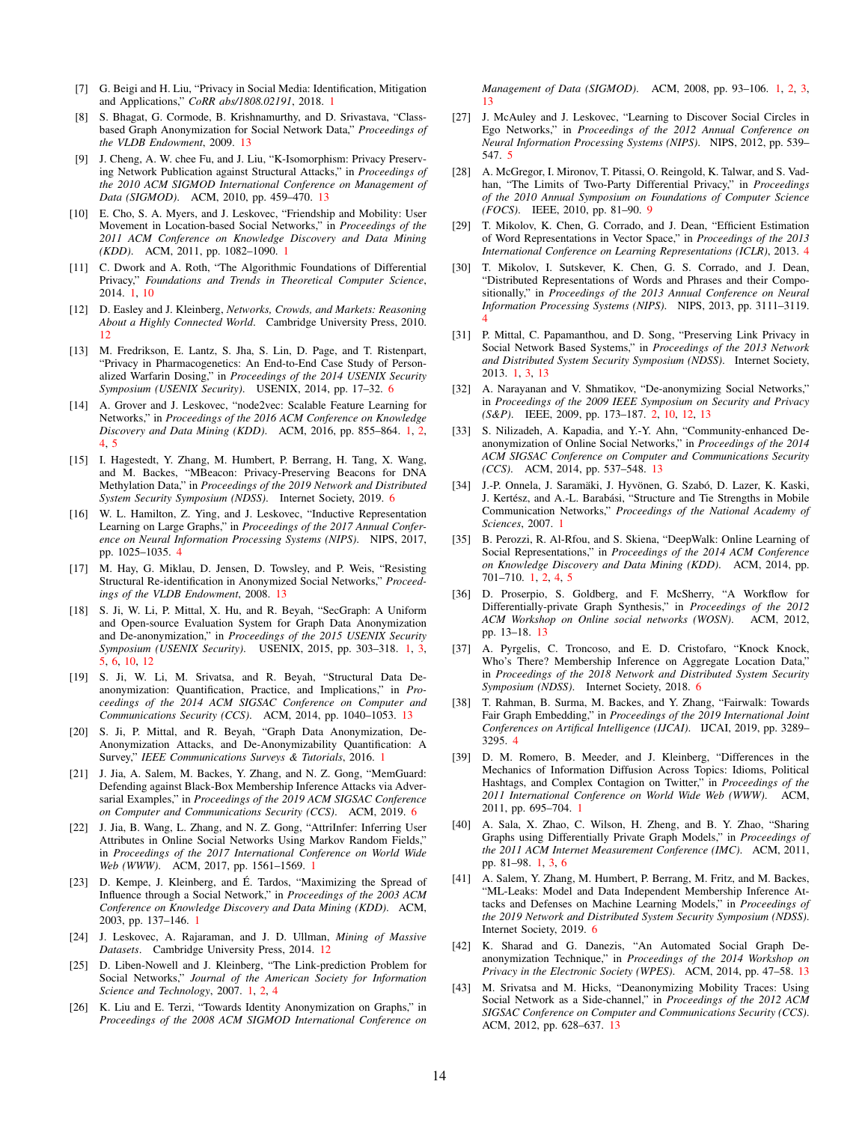- <span id="page-13-4"></span>[7] G. Beigi and H. Liu, "Privacy in Social Media: Identification, Mitigation and Applications," *CoRR abs/1808.02191*, 2018. [1](#page-0-0)
- <span id="page-13-30"></span>[8] S. Bhagat, G. Cormode, B. Krishnamurthy, and D. Srivastava, "Classbased Graph Anonymization for Social Network Data," *Proceedings of the VLDB Endowment*, 2009. [13](#page-12-9)
- <span id="page-13-31"></span>[9] J. Cheng, A. W. chee Fu, and J. Liu, "K-Isomorphism: Privacy Preserving Network Publication against Structural Attacks," in *Proceedings of the 2010 ACM SIGMOD International Conference on Management of Data (SIGMOD)*. ACM, 2010, pp. 459–470. [13](#page-12-9)
- <span id="page-13-1"></span>[10] E. Cho, S. A. Myers, and J. Leskovec, "Friendship and Mobility: User Movement in Location-based Social Networks," in *Proceedings of the 2011 ACM Conference on Knowledge Discovery and Data Mining (KDD)*. ACM, 2011, pp. 1082–1090. [1](#page-0-0)
- <span id="page-13-10"></span>[11] C. Dwork and A. Roth, "The Algorithmic Foundations of Differential Privacy," *Foundations and Trends in Theoretical Computer Science*, 2014. [1,](#page-0-0) [10](#page-9-6)
- <span id="page-13-27"></span>[12] D. Easley and J. Kleinberg, *Networks, Crowds, and Markets: Reasoning About a Highly Connected World*. Cambridge University Press, 2010. [12](#page-11-3)
- <span id="page-13-23"></span>[13] M. Fredrikson, E. Lantz, S. Jha, S. Lin, D. Page, and T. Ristenpart, "Privacy in Pharmacogenetics: An End-to-End Case Study of Personalized Warfarin Dosing," in *Proceedings of the 2014 USENIX Security Symposium (USENIX Security)*. USENIX, 2014, pp. 17–32. [6](#page-5-2)
- <span id="page-13-13"></span>[14] A. Grover and J. Leskovec, "node2vec: Scalable Feature Learning for Networks," in *Proceedings of the 2016 ACM Conference on Knowledge Discovery and Data Mining (KDD)*. ACM, 2016, pp. 855–864. [1,](#page-0-0) [2,](#page-1-1) [4,](#page-3-4) [5](#page-4-4)
- <span id="page-13-22"></span>[15] I. Hagestedt, Y. Zhang, M. Humbert, P. Berrang, H. Tang, X. Wang, and M. Backes, "MBeacon: Privacy-Preserving Beacons for DNA Methylation Data," in *Proceedings of the 2019 Network and Distributed System Security Symposium (NDSS)*. Internet Society, 2019. [6](#page-5-2)
- <span id="page-13-16"></span>[16] W. L. Hamilton, Z. Ying, and J. Leskovec, "Inductive Representation Learning on Large Graphs," in *Proceedings of the 2017 Annual Conference on Neural Information Processing Systems (NIPS)*. NIPS, 2017, pp. 1025–1035. [4](#page-3-4)
- <span id="page-13-29"></span>[17] M. Hay, G. Miklau, D. Jensen, D. Towsley, and P. Weis, "Resisting Structural Re-identification in Anonymized Social Networks," *Proceedings of the VLDB Endowment*, 2008. [13](#page-12-9)
- <span id="page-13-14"></span>[18] S. Ji, W. Li, P. Mittal, X. Hu, and R. Beyah, "SecGraph: A Uniform and Open-source Evaluation System for Graph Data Anonymization and De-anonymization," in *Proceedings of the 2015 USENIX Security Symposium (USENIX Security)*. USENIX, 2015, pp. 303–318. [1,](#page-0-0) [3,](#page-2-4) [5,](#page-4-4) [6,](#page-5-2) [10,](#page-9-6) [12](#page-11-3)
- <span id="page-13-34"></span>[19] S. Ji, W. Li, M. Srivatsa, and R. Beyah, "Structural Data Deanonymization: Quantification, Practice, and Implications," in *Proceedings of the 2014 ACM SIGSAC Conference on Computer and Communications Security (CCS)*. ACM, 2014, pp. 1040–1053. [13](#page-12-9)
- <span id="page-13-9"></span>[20] S. Ji, P. Mittal, and R. Beyah, "Graph Data Anonymization, De-Anonymization Attacks, and De-Anonymizability Quantification: A Survey," *IEEE Communications Surveys & Tutorials*, 2016. [1](#page-0-0)
- <span id="page-13-25"></span>[21] J. Jia, A. Salem, M. Backes, Y. Zhang, and N. Z. Gong, "MemGuard: Defending against Black-Box Membership Inference Attacks via Adversarial Examples," in *Proceedings of the 2019 ACM SIGSAC Conference on Computer and Communications Security (CCS)*. ACM, 2019. [6](#page-5-2)
- <span id="page-13-5"></span>[22] J. Jia, B. Wang, L. Zhang, and N. Z. Gong, "AttriInfer: Inferring User Attributes in Online Social Networks Using Markov Random Fields," in *Proceedings of the 2017 International Conference on World Wide Web (WWW)*. ACM, 2017, pp. 1561–1569. [1](#page-0-0)
- <span id="page-13-2"></span>[23] D. Kempe, J. Kleinberg, and É. Tardos, "Maximizing the Spread of Influence through a Social Network," in *Proceedings of the 2003 ACM Conference on Knowledge Discovery and Data Mining (KDD)*. ACM, 2003, pp. 137–146. [1](#page-0-0)
- <span id="page-13-28"></span>[24] J. Leskovec, A. Rajaraman, and J. D. Ullman, *Mining of Massive Datasets*. Cambridge University Press, 2014. [12](#page-11-3)
- <span id="page-13-11"></span>[25] D. Liben-Nowell and J. Kleinberg, "The Link-prediction Problem for Social Networks," *Journal of the American Society for Information Science and Technology*, 2007. [1,](#page-0-0) [2,](#page-1-1) [4](#page-3-4)
- <span id="page-13-6"></span>[26] K. Liu and E. Terzi, "Towards Identity Anonymization on Graphs," in *Proceedings of the 2008 ACM SIGMOD International Conference on*

*Management of Data (SIGMOD)*. ACM, 2008, pp. 93–106. [1,](#page-0-0) [2,](#page-1-1) [3,](#page-2-4) [13](#page-12-9)

- <span id="page-13-20"></span>[27] J. McAuley and J. Leskovec, "Learning to Discover Social Circles in Ego Networks," in *Proceedings of the 2012 Annual Conference on Neural Information Processing Systems (NIPS)*. NIPS, 2012, pp. 539– 547. [5](#page-4-4)
- <span id="page-13-26"></span>[28] A. McGregor, I. Mironov, T. Pitassi, O. Reingold, K. Talwar, and S. Vadhan, "The Limits of Two-Party Differential Privacy," in *Proceedings of the 2010 Annual Symposium on Foundations of Computer Science (FOCS)*. IEEE, 2010, pp. 81–90. [9](#page-8-1)
- <span id="page-13-18"></span>[29] T. Mikolov, K. Chen, G. Corrado, and J. Dean, "Efficient Estimation of Word Representations in Vector Space," in *Proceedings of the 2013 International Conference on Learning Representations (ICLR)*, 2013. [4](#page-3-4)
- <span id="page-13-19"></span>[30] T. Mikolov, I. Sutskever, K. Chen, G. S. Corrado, and J. Dean, "Distributed Representations of Words and Phrases and their Compositionally," in *Proceedings of the 2013 Annual Conference on Neural Information Processing Systems (NIPS)*. NIPS, 2013, pp. 3111–3119. [4](#page-3-4)
- <span id="page-13-8"></span>[31] P. Mittal, C. Papamanthou, and D. Song, "Preserving Link Privacy in Social Network Based Systems," in *Proceedings of the 2013 Network and Distributed System Security Symposium (NDSS)*. Internet Society, 2013. [1,](#page-0-0) [3,](#page-2-4) [13](#page-12-9)
- <span id="page-13-15"></span>[32] A. Narayanan and V. Shmatikov, "De-anonymizing Social Networks," in *Proceedings of the 2009 IEEE Symposium on Security and Privacy (S&P)*. IEEE, 2009, pp. 173–187. [2,](#page-1-1) [10,](#page-9-6) [12,](#page-11-3) [13](#page-12-9)
- <span id="page-13-35"></span>[33] S. Nilizadeh, A. Kapadia, and Y.-Y. Ahn, "Community-enhanced Deanonymization of Online Social Networks," in *Proceedings of the 2014 ACM SIGSAC Conference on Computer and Communications Security (CCS)*. ACM, 2014, pp. 537–548. [13](#page-12-9)
- <span id="page-13-0"></span>[34] J.-P. Onnela, J. Saramäki, J. Hyvönen, G. Szabó, D. Lazer, K. Kaski, J. Kertész, and A.-L. Barabási, "Structure and Tie Strengths in Mobile Communication Networks," *Proceedings of the National Academy of Sciences*, 2007. [1](#page-0-0)
- <span id="page-13-12"></span>[35] B. Perozzi, R. Al-Rfou, and S. Skiena, "DeepWalk: Online Learning of Social Representations," in *Proceedings of the 2014 ACM Conference on Knowledge Discovery and Data Mining (KDD)*. ACM, 2014, pp. 701–710. [1,](#page-0-0) [2,](#page-1-1) [4,](#page-3-4) [5](#page-4-4)
- <span id="page-13-32"></span>[36] D. Proserpio, S. Goldberg, and F. McSherry, "A Workflow for Differentially-private Graph Synthesis," in *Proceedings of the 2012 ACM Workshop on Online social networks (WOSN)*. ACM, 2012, pp. 13–18. [13](#page-12-9)
- <span id="page-13-21"></span>[37] A. Pyrgelis, C. Troncoso, and E. D. Cristofaro, "Knock Knock, Who's There? Membership Inference on Aggregate Location Data," in *Proceedings of the 2018 Network and Distributed System Security Symposium (NDSS)*. Internet Society, 2018. [6](#page-5-2)
- <span id="page-13-17"></span>[38] T. Rahman, B. Surma, M. Backes, and Y. Zhang, "Fairwalk: Towards Fair Graph Embedding," in *Proceedings of the 2019 International Joint Conferences on Artifical Intelligence (IJCAI)*. IJCAI, 2019, pp. 3289– 3295. [4](#page-3-4)
- <span id="page-13-3"></span>[39] D. M. Romero, B. Meeder, and J. Kleinberg, "Differences in the Mechanics of Information Diffusion Across Topics: Idioms, Political Hashtags, and Complex Contagion on Twitter," in *Proceedings of the 2011 International Conference on World Wide Web (WWW)*. ACM, 2011, pp. 695–704. [1](#page-0-0)
- <span id="page-13-7"></span>[40] A. Sala, X. Zhao, C. Wilson, H. Zheng, and B. Y. Zhao, "Sharing Graphs using Differentially Private Graph Models," in *Proceedings of the 2011 ACM Internet Measurement Conference (IMC)*. ACM, 2011, pp. 81–98. [1,](#page-0-0) [3,](#page-2-4) [6](#page-5-2)
- <span id="page-13-24"></span>[41] A. Salem, Y. Zhang, M. Humbert, P. Berrang, M. Fritz, and M. Backes, "ML-Leaks: Model and Data Independent Membership Inference Attacks and Defenses on Machine Learning Models," in *Proceedings of the 2019 Network and Distributed System Security Symposium (NDSS)*. Internet Society, 2019. [6](#page-5-2)
- <span id="page-13-36"></span>[42] K. Sharad and G. Danezis, "An Automated Social Graph Deanonymization Technique," in *Proceedings of the 2014 Workshop on Privacy in the Electronic Society (WPES)*. ACM, 2014, pp. 47–58. [13](#page-12-9)
- <span id="page-13-33"></span>[43] M. Srivatsa and M. Hicks, "Deanonymizing Mobility Traces: Using Social Network as a Side-channel," in *Proceedings of the 2012 ACM SIGSAC Conference on Computer and Communications Security (CCS)*. ACM, 2012, pp. 628–637. [13](#page-12-9)